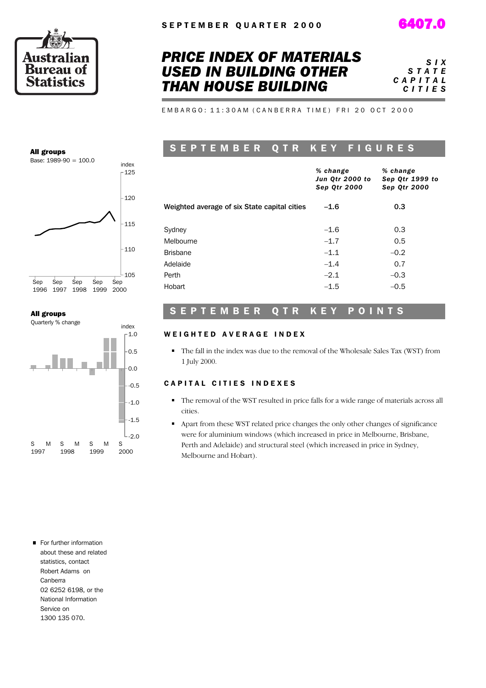

All groups

Base: 1989-90 = 100.0

### *PRICE INDEX OF MATERIALS USED IN BUILDING OTHER THAN HOUSE BUILDING*

*S I X S T A T E C A P I T A L C I T I E S*

EMBARGO: 11:30AM (CANBERRA TIME) FRI 20 OCT 2000

### S E P T E M B E R O T R K E Y F I G U R E S

|                                              | % change<br>Jun Qtr 2000 to<br><b>Sep Qtr 2000</b> | % change<br>Sep Qtr 1999 to<br><b>Sep Qtr 2000</b> |
|----------------------------------------------|----------------------------------------------------|----------------------------------------------------|
| Weighted average of six State capital cities | $-1.6$                                             | 0.3                                                |
| Sydney                                       | $-1.6$                                             | 0.3                                                |
| Melbourne                                    | $-1.7$                                             | 0.5                                                |
| <b>Brisbane</b>                              | $-1.1$                                             | $-0.2$                                             |
| Adelaide                                     | $-1.4$                                             | 0.7                                                |
| Perth                                        | $-2.1$                                             | $-0.3$                                             |
| Hobart                                       | $-1.5$                                             | $-0.5$                                             |

#### All groups

1996 1997 1998 1999 Sep

Sep

Sep

Sep



 $-105$ 

Sep 2000

 $-110$ 

 $-115$ 

 $-120$ 

 $-125$ index

#### S E P T E M B E R Q T R K E Y P O I N T S

#### WEIGHTED AVERAGE INDEX

The fall in the index was due to the removal of the Wholesale Sales Tax (WST) from 1 July 2000.

#### CAPITAL CITIES INDEXES

- The removal of the WST resulted in price falls for a wide range of materials across all cities.
- Apart from these WST related price changes the only other changes of significance were for aluminium windows (which increased in price in Melbourne, Brisbane, Perth and Adelaide) and structural steel (which increased in price in Sydney, Melbourne and Hobart).

For further information about these and related statistics, contact Robert Adams on Canberra 02 6252 6198, or the National Information Service on 1300 135 070.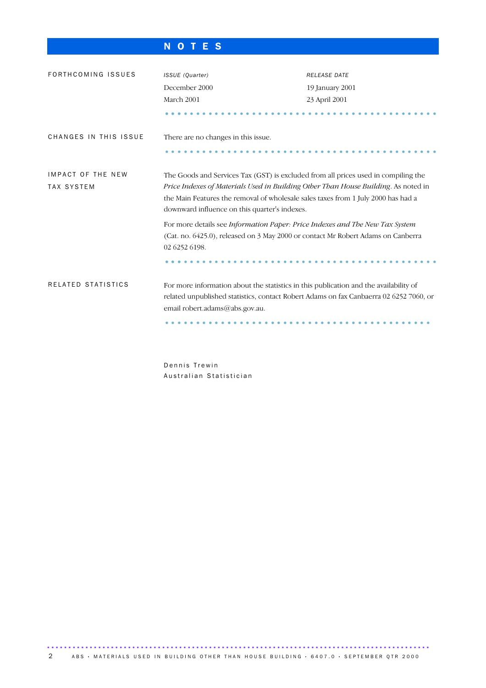### N O T E S

| FORTHCOMING ISSUES                            | ISSUE (Quarter)                                                                                                                                                                                                   | <b>RELEASE DATE</b>                                                                                                                                                                                                                                                                                            |  |  |  |  |  |  |  |
|-----------------------------------------------|-------------------------------------------------------------------------------------------------------------------------------------------------------------------------------------------------------------------|----------------------------------------------------------------------------------------------------------------------------------------------------------------------------------------------------------------------------------------------------------------------------------------------------------------|--|--|--|--|--|--|--|
|                                               | December 2000                                                                                                                                                                                                     | 19 January 2001                                                                                                                                                                                                                                                                                                |  |  |  |  |  |  |  |
|                                               | March 2001                                                                                                                                                                                                        | 23 April 2001                                                                                                                                                                                                                                                                                                  |  |  |  |  |  |  |  |
|                                               |                                                                                                                                                                                                                   |                                                                                                                                                                                                                                                                                                                |  |  |  |  |  |  |  |
| CHANGES IN THIS ISSUE                         | There are no changes in this issue.                                                                                                                                                                               |                                                                                                                                                                                                                                                                                                                |  |  |  |  |  |  |  |
|                                               |                                                                                                                                                                                                                   |                                                                                                                                                                                                                                                                                                                |  |  |  |  |  |  |  |
| <b>IMPACT OF THE NEW</b><br><b>TAX SYSTEM</b> |                                                                                                                                                                                                                   | The Goods and Services Tax (GST) is excluded from all prices used in compiling the<br>Price Indexes of Materials Used in Building Other Than House Building. As noted in<br>the Main Features the removal of wholesale sales taxes from 1 July 2000 has had a<br>downward influence on this quarter's indexes. |  |  |  |  |  |  |  |
|                                               | For more details see Information Paper: Price Indexes and The New Tax System<br>(Cat. no. 6425.0), released on 3 May 2000 or contact Mr Robert Adams on Canberra<br>02 6252 6198.                                 |                                                                                                                                                                                                                                                                                                                |  |  |  |  |  |  |  |
| RELATED STATISTICS                            | For more information about the statistics in this publication and the availability of<br>related unpublished statistics, contact Robert Adams on fax Canbaerra 02 6252 7060, or<br>email robert.adams@abs.gov.au. |                                                                                                                                                                                                                                                                                                                |  |  |  |  |  |  |  |
|                                               |                                                                                                                                                                                                                   |                                                                                                                                                                                                                                                                                                                |  |  |  |  |  |  |  |

Dennis Trewin Australian Statistician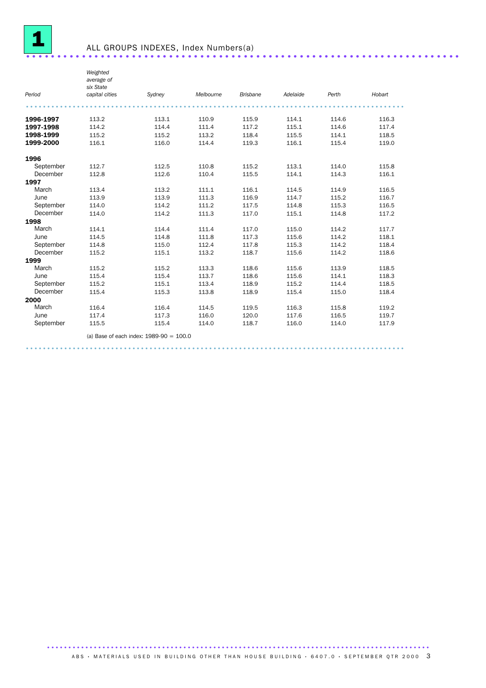

|           | Weighted<br>average of<br>six State |                                           |           |                 |          |       |        |
|-----------|-------------------------------------|-------------------------------------------|-----------|-----------------|----------|-------|--------|
| Period    | capital cities                      | Sydney                                    | Melbourne | <b>Brisbane</b> | Adelaide | Perth | Hobart |
|           |                                     |                                           |           |                 |          |       |        |
| 1996-1997 | 113.2                               | 113.1                                     | 110.9     | 115.9           | 114.1    | 114.6 | 116.3  |
| 1997-1998 | 114.2                               | 114.4                                     | 111.4     | 117.2           | 115.1    | 114.6 | 117.4  |
| 1998-1999 | 115.2                               | 115.2                                     | 113.2     | 118.4           | 115.5    | 114.1 | 118.5  |
| 1999-2000 | 116.1                               | 116.0                                     | 114.4     | 119.3           | 116.1    | 115.4 | 119.0  |
| 1996      |                                     |                                           |           |                 |          |       |        |
| September | 112.7                               | 112.5                                     | 110.8     | 115.2           | 113.1    | 114.0 | 115.8  |
| December  | 112.8                               | 112.6                                     | 110.4     | 115.5           | 114.1    | 114.3 | 116.1  |
| 1997      |                                     |                                           |           |                 |          |       |        |
| March     | 113.4                               | 113.2                                     | 111.1     | 116.1           | 114.5    | 114.9 | 116.5  |
| June      | 113.9                               | 113.9                                     | 111.3     | 116.9           | 114.7    | 115.2 | 116.7  |
| September | 114.0                               | 114.2                                     | 111.2     | 117.5           | 114.8    | 115.3 | 116.5  |
| December  | 114.0                               | 114.2                                     | 111.3     | 117.0           | 115.1    | 114.8 | 117.2  |
| 1998      |                                     |                                           |           |                 |          |       |        |
| March     | 114.1                               | 114.4                                     | 111.4     | 117.0           | 115.0    | 114.2 | 117.7  |
| June      | 114.5                               | 114.8                                     | 111.8     | 117.3           | 115.6    | 114.2 | 118.1  |
| September | 114.8                               | 115.0                                     | 112.4     | 117.8           | 115.3    | 114.2 | 118.4  |
| December  | 115.2                               | 115.1                                     | 113.2     | 118.7           | 115.6    | 114.2 | 118.6  |
| 1999      |                                     |                                           |           |                 |          |       |        |
| March     | 115.2                               | 115.2                                     | 113.3     | 118.6           | 115.6    | 113.9 | 118.5  |
| June      | 115.4                               | 115.4                                     | 113.7     | 118.6           | 115.6    | 114.1 | 118.3  |
| September | 115.2                               | 115.1                                     | 113.4     | 118.9           | 115.2    | 114.4 | 118.5  |
| December  | 115.4                               | 115.3                                     | 113.8     | 118.9           | 115.4    | 115.0 | 118.4  |
| 2000      |                                     |                                           |           |                 |          |       |        |
| March     | 116.4                               | 116.4                                     | 114.5     | 119.5           | 116.3    | 115.8 | 119.2  |
| June      | 117.4                               | 117.3                                     | 116.0     | 120.0           | 117.6    | 116.5 | 119.7  |
| September | 115.5                               | 115.4                                     | 114.0     | 118.7           | 116.0    | 114.0 | 117.9  |
|           |                                     | (a) Base of each index: $1989-90 = 100.0$ |           |                 |          |       |        |

.........................................................................................

.......................................................................................... A B S · MATERIALS USED IN BUILDING OTHER THAN HOUSE BUILDING · 6407.0 · SEPTEMBER OTR 2000 3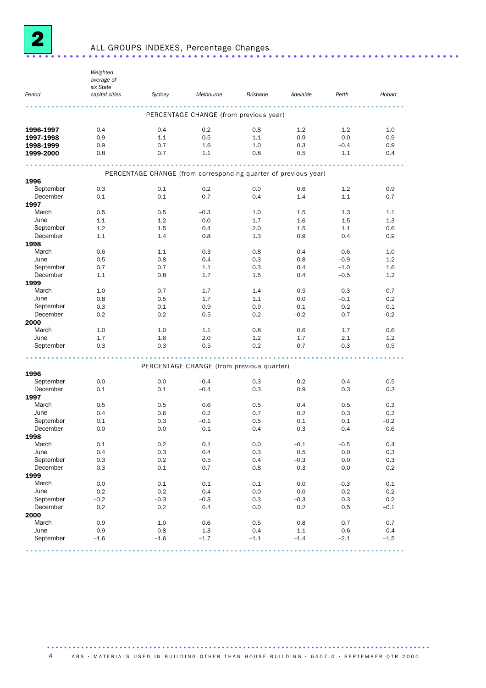

### ALL GROUPS INDEXES, Percentage Changes ......................................................................

*Period Weighted average of six State capital cities Sydney Melbourne Brisbane Adelaide Perth Hobart* ......................................................................................... PERCENTAGE CHANGE (from previous year) **1996-1997** 0.4 0.4 – 0.2 0.8 1.2 1.2 1.0 **1997-1998** 0.9 1.1 0.5 1.1 0.9 0.0 0.9 **1998-1999** 0.9 0.7 1.6 1.0 0.3 –0.4 0.9 **1999-2000** 0.8 0.7 1.1 0.8 0.5 1.1 0.4 **1999-2000** 0.8 0.7 1.1 0.8 0.5 1.1 0.4  $\cdot\cdot\cdot$ PERCENTAGE CHANGE (from corresponding quarter of previous year) 1996 September 0.3 0.1 0.2 0.0 0.6 1.2 0.9 December 0.1 –0.1 –0.7 0.4 1.4 1.1 0.7 1997 March 0.5 0.5 –0.3 1.0 1.5 1.3 1.1 June 1.1 1.2 0.0 1.7 1.6 1.5 1.3 September 1.2 1.5 0.4 2.0 1.5 1.1 0.6 December 1.1 1.4 0.8 1.3 0.9 0.4 0.9 1998 March 0.6 1.1 0.3 0.8 0.4 –0.6 1.0 June 0.5 0.8 0.4 0.3 0.8 –0.9 1.2 September 0.7 0.7 1.1 0.3 0.4 –1.0 1.6 December 1.1 0.8 1.7 1.5 0.4 – 0.5 1.2 **1999**<br>March March 1.0 0.7 1.7 1.4 0.5 –0.3 0.7 June 0.8 0.5 1.7 1.1 0.0 –0.1 0.2 September 0.3 0.1 0.9 0.9 –0.1 0.2 0.1 December 0.2 0.2 0.5 0.2 –0.2 0.7 –0.2 **2000**<br>March March 1.0 1.0 1.1 0.8 0.6 1.7 0.6 June 1.7 1.6 2.0 1.2 1.7 2.1 1.2 September 0.3 0.3 0.5 –0.2 0.7 –0.3 –0.5 ......................................................................................... PERCENTAGE CHANGE (from previous quarter) 1996<br>September September 0.0 0.0 –0.4 0.3 0.2 0.4 0.5 December 0.1 0.1 –0.4 0.3 0.9 0.3 0.3 1997 March 0.5 0.5 0.6 0.5 0.4 0.5 0.3 June 0.4 0.6 0.2 0.7 0.2 0.3 0.2 September 0.1 0.3 –0.1 0.5 0.1 0.1 –0.2 December 0.0 0.0 0.1 –0.4 0.3 –0.4 0.6 1998 March 0.1 0.2 0.1 0.0 –0.1 –0.5 0.4 June 0.4 0.3 0.4 0.3 0.5 0.0 0.3 September 0.3 0.2 0.5 0.4 –0.3 0.0 0.3 December 0.3 0.1 0.7 0.8 0.3 0.0 0.2 1999 March 0.0 0.1 0.1 –0.1 0.0 –0.3 –0.1 June 0.2 0.2 0.4 0.0 0.0 0.2 –0.2 September –0.2 –0.3 –0.3 0.3 –0.3 0.3 0.2 December 0.2 0.2 0.4 0.0 0.2 0.5 –0.1 2000<br>March March 0.9 1.0 0.6 0.5 0.8 0.7 0.7 June 0.9 0.8 1.3 0.4 1.1 0.6 0.4 September –1.6 –1.6 –1.7 –1.1 –1.4 –2.1 –1.5 .........................................................................................

#### .......................................................................................... ABS • MATERIALS USED IN BUILDING OTHER THAN HOUSE BUILDING • 6407.0 • SEPTEMBER QTR 2000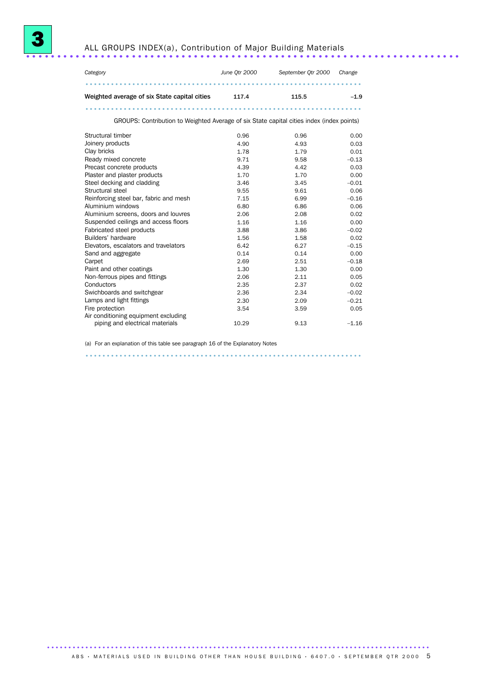



| Category                                                                                  | June Otr 2000 | September Otr 2000 | Change |
|-------------------------------------------------------------------------------------------|---------------|--------------------|--------|
|                                                                                           |               |                    |        |
| Weighted average of six State capital cities                                              | 117.4         | 115.5              | $-1.9$ |
|                                                                                           |               |                    |        |
| GROUPS: Contribution to Weighted Average of six State capital cities index (index points) |               |                    |        |
| Structural timber                                                                         | 0.96          | 0.96               | 0.00   |
| Joinery products                                                                          | 4.90          | 4.93               | 0.03   |

| Joinery products                       | 4.90  | 4.93 | 0.03    |
|----------------------------------------|-------|------|---------|
| Clay bricks                            | 1.78  | 1.79 | 0.01    |
| Ready mixed concrete                   | 9.71  | 9.58 | $-0.13$ |
| Precast concrete products              | 4.39  | 4.42 | 0.03    |
| Plaster and plaster products           | 1.70  | 1.70 | 0.00    |
| Steel decking and cladding             | 3.46  | 3.45 | $-0.01$ |
| Structural steel                       | 9.55  | 9.61 | 0.06    |
| Reinforcing steel bar, fabric and mesh | 7.15  | 6.99 | $-0.16$ |
| Aluminium windows                      | 6.80  | 6.86 | 0.06    |
| Aluminium screens, doors and louvres   | 2.06  | 2.08 | 0.02    |
| Suspended ceilings and access floors   | 1.16  | 1.16 | 0.00    |
| Fabricated steel products              | 3.88  | 3.86 | $-0.02$ |
| Builders' hardware                     | 1.56  | 1.58 | 0.02    |
| Elevators, escalators and travelators  | 6.42  | 6.27 | $-0.15$ |
| Sand and aggregate                     | 0.14  | 0.14 | 0.00    |
| Carpet                                 | 2.69  | 2.51 | $-0.18$ |
| Paint and other coatings               | 1.30  | 1.30 | 0.00    |
| Non-ferrous pipes and fittings         | 2.06  | 2.11 | 0.05    |
| Conductors                             | 2.35  | 2.37 | 0.02    |
| Swichboards and switchgear             | 2.36  | 2.34 | $-0.02$ |
| Lamps and light fittings               | 2.30  | 2.09 | $-0.21$ |
| Fire protection                        | 3.54  | 3.59 | 0.05    |
| Air conditioning equipment excluding   |       |      |         |
| piping and electrical materials        | 10.29 | 9.13 | $-1.16$ |

.................................................................

(a) For an explanation of this table see paragraph 16 of the Explanatory Notes

.......................................................................................... A B S · MATERIALS USED IN BUILDING OTHER THAN HOUSE BUILDING · 6407.0 · SEPTEMBER OTR 2000 5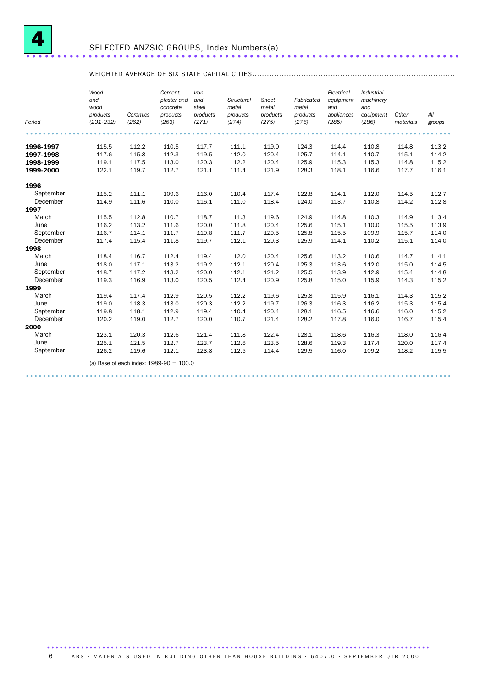

#### WEIGHTED AVERAGE OF SIX STATE CAPITAL CITIES...................................................................................

|           | Wood<br>and<br>wood<br>products | Ceramics | Cement.<br>plaster and<br>concrete<br>products | Iron<br>and<br>steel<br>products | Structural<br>metal<br>products | Sheet<br>metal<br>products | Fabricated<br>metal<br>products | Electrical<br>equipment<br>and<br>appliances | Industrial<br>machinery<br>and<br>equipment | Other     | All    |
|-----------|---------------------------------|----------|------------------------------------------------|----------------------------------|---------------------------------|----------------------------|---------------------------------|----------------------------------------------|---------------------------------------------|-----------|--------|
| Period    | $(231 - 232)$                   | (262)    | (263)                                          | (271)                            | (274)                           | (275)                      | (276)                           | (285)                                        | (286)                                       | materials | groups |
|           |                                 |          |                                                |                                  |                                 |                            |                                 |                                              |                                             |           |        |
| 1996-1997 | 115.5                           | 112.2    | 110.5                                          | 117.7                            | 111.1                           | 119.0                      | 124.3                           | 114.4                                        | 110.8                                       | 114.8     | 113.2  |
| 1997-1998 | 117.6                           | 115.8    | 112.3                                          | 119.5                            | 112.0                           | 120.4                      | 125.7                           | 114.1                                        | 110.7                                       | 115.1     | 114.2  |
| 1998-1999 | 119.1                           | 117.5    | 113.0                                          | 120.3                            | 112.2                           | 120.4                      | 125.9                           | 115.3                                        | 115.3                                       | 114.8     | 115.2  |
| 1999-2000 | 122.1                           | 119.7    | 112.7                                          | 121.1                            | 111.4                           | 121.9                      | 128.3                           | 118.1                                        | 116.6                                       | 117.7     | 116.1  |
| 1996      |                                 |          |                                                |                                  |                                 |                            |                                 |                                              |                                             |           |        |
| September | 115.2                           | 111.1    | 109.6                                          | 116.0                            | 110.4                           | 117.4                      | 122.8                           | 114.1                                        | 112.0                                       | 114.5     | 112.7  |
| December  | 114.9                           | 111.6    | 110.0                                          | 116.1                            | 111.0                           | 118.4                      | 124.0                           | 113.7                                        | 110.8                                       | 114.2     | 112.8  |
| 1997      |                                 |          |                                                |                                  |                                 |                            |                                 |                                              |                                             |           |        |
| March     | 115.5                           | 112.8    | 110.7                                          | 118.7                            | 111.3                           | 119.6                      | 124.9                           | 114.8                                        | 110.3                                       | 114.9     | 113.4  |
| June      | 116.2                           | 113.2    | 111.6                                          | 120.0                            | 111.8                           | 120.4                      | 125.6                           | 115.1                                        | 110.0                                       | 115.5     | 113.9  |
| September | 116.7                           | 114.1    | 111.7                                          | 119.8                            | 111.7                           | 120.5                      | 125.8                           | 115.5                                        | 109.9                                       | 115.7     | 114.0  |
| December  | 117.4                           | 115.4    | 111.8                                          | 119.7                            | 112.1                           | 120.3                      | 125.9                           | 114.1                                        | 110.2                                       | 115.1     | 114.0  |
| 1998      |                                 |          |                                                |                                  |                                 |                            |                                 |                                              |                                             |           |        |
| March     | 118.4                           | 116.7    | 112.4                                          | 119.4                            | 112.0                           | 120.4                      | 125.6                           | 113.2                                        | 110.6                                       | 114.7     | 114.1  |
| June      | 118.0                           | 117.1    | 113.2                                          | 119.2                            | 112.1                           | 120.4                      | 125.3                           | 113.6                                        | 112.0                                       | 115.0     | 114.5  |
| September | 118.7                           | 117.2    | 113.2                                          | 120.0                            | 112.1                           | 121.2                      | 125.5                           | 113.9                                        | 112.9                                       | 115.4     | 114.8  |
| December  | 119.3                           | 116.9    | 113.0                                          | 120.5                            | 112.4                           | 120.9                      | 125.8                           | 115.0                                        | 115.9                                       | 114.3     | 115.2  |
| 1999      |                                 |          |                                                |                                  |                                 |                            |                                 |                                              |                                             |           |        |
| March     | 119.4                           | 117.4    | 112.9                                          | 120.5                            | 112.2                           | 119.6                      | 125.8                           | 115.9                                        | 116.1                                       | 114.3     | 115.2  |
| June      | 119.0                           | 118.3    | 113.0                                          | 120.3                            | 112.2                           | 119.7                      | 126.3                           | 116.3                                        | 116.2                                       | 115.3     | 115.4  |
| September | 119.8                           | 118.1    | 112.9                                          | 119.4                            | 110.4                           | 120.4                      | 128.1                           | 116.5                                        | 116.6                                       | 116.0     | 115.2  |
| December  | 120.2                           | 119.0    | 112.7                                          | 120.0                            | 110.7                           | 121.4                      | 128.2                           | 117.8                                        | 116.0                                       | 116.7     | 115.4  |
| 2000      |                                 |          |                                                |                                  |                                 |                            |                                 |                                              |                                             |           |        |
| March     | 123.1                           | 120.3    | 112.6                                          | 121.4                            | 111.8                           | 122.4                      | 128.1                           | 118.6                                        | 116.3                                       | 118.0     | 116.4  |
| June      | 125.1                           | 121.5    | 112.7                                          | 123.7                            | 112.6                           | 123.5                      | 128.6                           | 119.3                                        | 117.4                                       | 120.0     | 117.4  |
| September | 126.2                           | 119.6    | 112.1                                          | 123.8                            | 112.5                           | 114.4                      | 129.5                           | 116.0                                        | 109.2                                       | 118.2     | 115.5  |
|           |                                 |          | (a) Base of each index: $1989-90 = 100.0$      |                                  |                                 |                            |                                 |                                              |                                             |           |        |
|           |                                 |          |                                                |                                  |                                 |                            |                                 |                                              |                                             |           |        |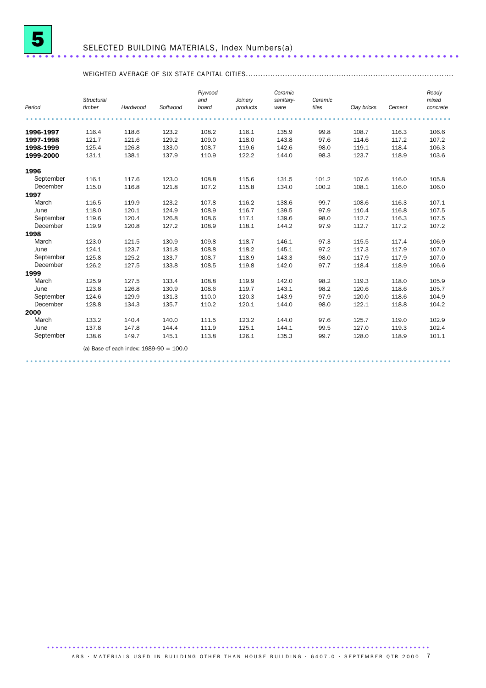

## SELECTED BUILDING MATERIALS, Index Numbers(a) ......................................................................

#### WEIGHTED AVERAGE OF SIX STATE CAPITAL CITIES.....................................................................................

| Period    | Structural<br>timber | Hardwood                                  | Softwood | Plywood<br>and<br>board | Joinery<br>products | Ceramic<br>sanitary- | Ceramic<br>tiles | Clay bricks | Cement | Ready<br>mixed<br>concrete |
|-----------|----------------------|-------------------------------------------|----------|-------------------------|---------------------|----------------------|------------------|-------------|--------|----------------------------|
|           |                      |                                           |          |                         |                     | ware                 |                  |             |        |                            |
|           |                      |                                           |          |                         |                     |                      |                  |             |        |                            |
| 1996-1997 | 116.4                | 118.6                                     | 123.2    | 108.2                   | 116.1               | 135.9                | 99.8             | 108.7       | 116.3  | 106.6                      |
| 1997-1998 | 121.7                | 121.6                                     | 129.2    | 109.0                   | 118.0               | 143.8                | 97.6             | 114.6       | 117.2  | 107.2                      |
| 1998-1999 | 125.4                | 126.8                                     | 133.0    | 108.7                   | 119.6               | 142.6                | 98.0             | 119.1       | 118.4  | 106.3                      |
| 1999-2000 | 131.1                | 138.1                                     | 137.9    | 110.9                   | 122.2               | 144.0                | 98.3             | 123.7       | 118.9  | 103.6                      |
| 1996      |                      |                                           |          |                         |                     |                      |                  |             |        |                            |
| September | 116.1                | 117.6                                     | 123.0    | 108.8                   | 115.6               | 131.5                | 101.2            | 107.6       | 116.0  | 105.8                      |
| December  | 115.0                | 116.8                                     | 121.8    | 107.2                   | 115.8               | 134.0                | 100.2            | 108.1       | 116.0  | 106.0                      |
| 1997      |                      |                                           |          |                         |                     |                      |                  |             |        |                            |
| March     | 116.5                | 119.9                                     | 123.2    | 107.8                   | 116.2               | 138.6                | 99.7             | 108.6       | 116.3  | 107.1                      |
| June      | 118.0                | 120.1                                     | 124.9    | 108.9                   | 116.7               | 139.5                | 97.9             | 110.4       | 116.8  | 107.5                      |
| September | 119.6                | 120.4                                     | 126.8    | 108.6                   | 117.1               | 139.6                | 98.0             | 112.7       | 116.3  | 107.5                      |
| December  | 119.9                | 120.8                                     | 127.2    | 108.9                   | 118.1               | 144.2                | 97.9             | 112.7       | 117.2  | 107.2                      |
| 1998      |                      |                                           |          |                         |                     |                      |                  |             |        |                            |
| March     | 123.0                | 121.5                                     | 130.9    | 109.8                   | 118.7               | 146.1                | 97.3             | 115.5       | 117.4  | 106.9                      |
| June      | 124.1                | 123.7                                     | 131.8    | 108.8                   | 118.2               | 145.1                | 97.2             | 117.3       | 117.9  | 107.0                      |
| September | 125.8                | 125.2                                     | 133.7    | 108.7                   | 118.9               | 143.3                | 98.0             | 117.9       | 117.9  | 107.0                      |
| December  | 126.2                | 127.5                                     | 133.8    | 108.5                   | 119.8               | 142.0                | 97.7             | 118.4       | 118.9  | 106.6                      |
| 1999      |                      |                                           |          |                         |                     |                      |                  |             |        |                            |
| March     | 125.9                | 127.5                                     | 133.4    | 108.8                   | 119.9               | 142.0                | 98.2             | 119.3       | 118.0  | 105.9                      |
| June      | 123.8                | 126.8                                     | 130.9    | 108.6                   | 119.7               | 143.1                | 98.2             | 120.6       | 118.6  | 105.7                      |
| September | 124.6                | 129.9                                     | 131.3    | 110.0                   | 120.3               | 143.9                | 97.9             | 120.0       | 118.6  | 104.9                      |
| December  | 128.8                | 134.3                                     | 135.7    | 110.2                   | 120.1               | 144.0                | 98.0             | 122.1       | 118.8  | 104.2                      |
| 2000      |                      |                                           |          |                         |                     |                      |                  |             |        |                            |
| March     | 133.2                | 140.4                                     | 140.0    | 111.5                   | 123.2               | 144.0                | 97.6             | 125.7       | 119.0  | 102.9                      |
| June      | 137.8                | 147.8                                     | 144.4    | 111.9                   | 125.1               | 144.1                | 99.5             | 127.0       | 119.3  | 102.4                      |
| September | 138.6                | 149.7                                     | 145.1    | 113.8                   | 126.1               | 135.3                | 99.7             | 128.0       | 118.9  | 101.1                      |
|           |                      | (a) Base of each index: $1989-90 = 100.0$ |          |                         |                     |                      |                  |             |        |                            |
|           |                      |                                           |          |                         |                     |                      |                  |             |        |                            |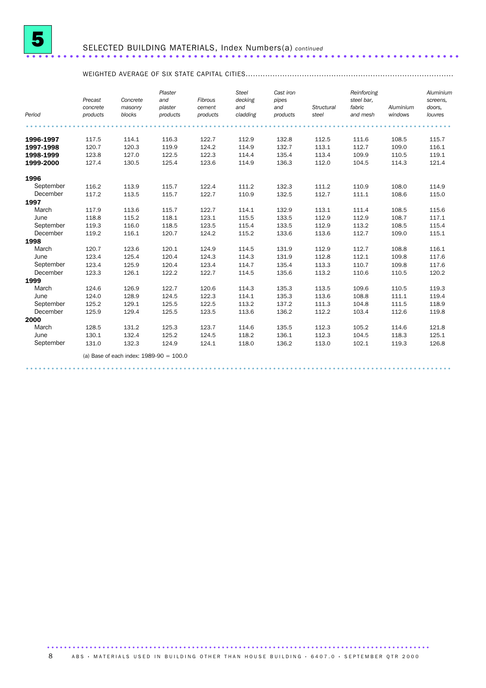

#### SELECTED BUILDING MATERIALS, Index Numbers(a) *continued* ......................................................................

#### WEIGHTED AVERAGE OF SIX STATE CAPITAL CITIES.....................................................................................

|           | Precast<br>concrete | Concrete<br>masonry                       | Plaster<br>and<br>plaster | Fibrous<br>cement | <b>Steel</b><br>decking<br>and | Cast iron<br>pipes<br>and | Structural | Reinforcing<br>steel bar.<br>fabric | Aluminium | Aluminium<br>screens,<br>doors. |
|-----------|---------------------|-------------------------------------------|---------------------------|-------------------|--------------------------------|---------------------------|------------|-------------------------------------|-----------|---------------------------------|
| Period    | products            | blocks                                    | products                  | products          | cladding                       | products                  | steel      | and mesh                            | windows   | louvres                         |
|           |                     |                                           |                           |                   |                                |                           |            |                                     |           |                                 |
| 1996-1997 | 117.5               | 114.1                                     | 116.3                     | 122.7             | 112.9                          | 132.8                     | 112.5      | 111.6                               | 108.5     | 115.7                           |
| 1997-1998 | 120.7               | 120.3                                     | 119.9                     | 124.2             | 114.9                          | 132.7                     | 113.1      | 112.7                               | 109.0     | 116.1                           |
| 1998-1999 | 123.8               | 127.0                                     | 122.5                     | 122.3             | 114.4                          | 135.4                     | 113.4      | 109.9                               | 110.5     | 119.1                           |
| 1999-2000 | 127.4               | 130.5                                     | 125.4                     | 123.6             | 114.9                          | 136.3                     | 112.0      | 104.5                               | 114.3     | 121.4                           |
| 1996      |                     |                                           |                           |                   |                                |                           |            |                                     |           |                                 |
| September | 116.2               | 113.9                                     | 115.7                     | 122.4             | 111.2                          | 132.3                     | 111.2      | 110.9                               | 108.0     | 114.9                           |
| December  | 117.2               | 113.5                                     | 115.7                     | 122.7             | 110.9                          | 132.5                     | 112.7      | 111.1                               | 108.6     | 115.0                           |
| 1997      |                     |                                           |                           |                   |                                |                           |            |                                     |           |                                 |
| March     | 117.9               | 113.6                                     | 115.7                     | 122.7             | 114.1                          | 132.9                     | 113.1      | 111.4                               | 108.5     | 115.6                           |
| June      | 118.8               | 115.2                                     | 118.1                     | 123.1             | 115.5                          | 133.5                     | 112.9      | 112.9                               | 108.7     | 117.1                           |
| September | 119.3               | 116.0                                     | 118.5                     | 123.5             | 115.4                          | 133.5                     | 112.9      | 113.2                               | 108.5     | 115.4                           |
| December  | 119.2               | 116.1                                     | 120.7                     | 124.2             | 115.2                          | 133.6                     | 113.6      | 112.7                               | 109.0     | 115.1                           |
| 1998      |                     |                                           |                           |                   |                                |                           |            |                                     |           |                                 |
| March     | 120.7               | 123.6                                     | 120.1                     | 124.9             | 114.5                          | 131.9                     | 112.9      | 112.7                               | 108.8     | 116.1                           |
| June      | 123.4               | 125.4                                     | 120.4                     | 124.3             | 114.3                          | 131.9                     | 112.8      | 112.1                               | 109.8     | 117.6                           |
| September | 123.4               | 125.9                                     | 120.4                     | 123.4             | 114.7                          | 135.4                     | 113.3      | 110.7                               | 109.8     | 117.6                           |
| December  | 123.3               | 126.1                                     | 122.2                     | 122.7             | 114.5                          | 135.6                     | 113.2      | 110.6                               | 110.5     | 120.2                           |
| 1999      |                     |                                           |                           |                   |                                |                           |            |                                     |           |                                 |
| March     | 124.6               | 126.9                                     | 122.7                     | 120.6             | 114.3                          | 135.3                     | 113.5      | 109.6                               | 110.5     | 119.3                           |
| June      | 124.0               | 128.9                                     | 124.5                     | 122.3             | 114.1                          | 135.3                     | 113.6      | 108.8                               | 111.1     | 119.4                           |
| September | 125.2               | 129.1                                     | 125.5                     | 122.5             | 113.2                          | 137.2                     | 111.3      | 104.8                               | 111.5     | 118.9                           |
| December  | 125.9               | 129.4                                     | 125.5                     | 123.5             | 113.6                          | 136.2                     | 112.2      | 103.4                               | 112.6     | 119.8                           |
| 2000      |                     |                                           |                           |                   |                                |                           |            |                                     |           |                                 |
| March     | 128.5               | 131.2                                     | 125.3                     | 123.7             | 114.6                          | 135.5                     | 112.3      | 105.2                               | 114.6     | 121.8                           |
| June      | 130.1               | 132.4                                     | 125.2                     | 124.5             | 118.2                          | 136.1                     | 112.3      | 104.5                               | 118.3     | 125.1                           |
| September | 131.0               | 132.3                                     | 124.9                     | 124.1             | 118.0                          | 136.2                     | 113.0      | 102.1                               | 119.3     | 126.8                           |
|           |                     | (a) Base of each index: $1989-90 = 100.0$ |                           |                   |                                |                           |            |                                     |           |                                 |
|           |                     |                                           |                           |                   |                                |                           |            |                                     |           |                                 |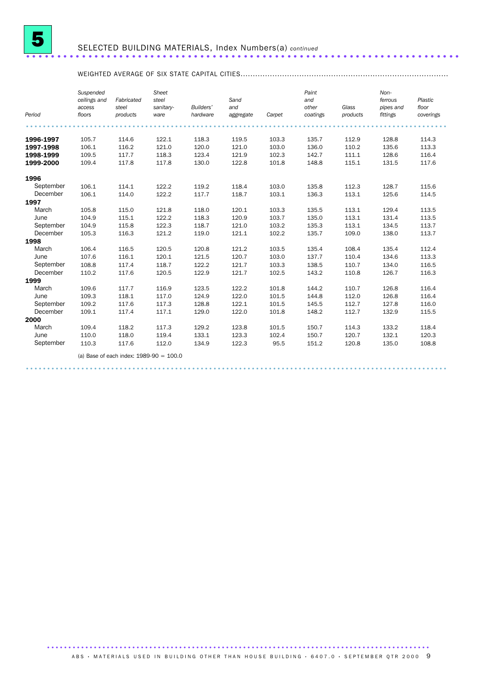

#### SELECTED BUILDING MATERIALS, Index Numbers(a) *continued* ......................................................................

#### WEIGHTED AVERAGE OF SIX STATE CAPITAL CITIES.....................................................................................

| Period            | Suspended<br>ceilings and<br>access<br>floors | Fabricated<br>steel<br>products           | Sheet<br>steel<br>sanitary-<br>ware | Builders'<br>hardware | Sand<br>and<br>aggregate | Carpet | Paint<br>and<br>other<br>coatings | Glass<br>products | Non-<br>ferrous<br>pipes and<br>fittings | Plastic<br>floor<br>coverings |
|-------------------|-----------------------------------------------|-------------------------------------------|-------------------------------------|-----------------------|--------------------------|--------|-----------------------------------|-------------------|------------------------------------------|-------------------------------|
|                   |                                               |                                           |                                     |                       |                          |        |                                   |                   |                                          |                               |
| 1996-1997         | 105.7                                         | 114.6                                     | 122.1                               | 118.3                 | 119.5                    | 103.3  | 135.7                             | 112.9             | 128.8                                    | 114.3                         |
| 1997-1998         | 106.1                                         | 116.2                                     | 121.0                               | 120.0                 | 121.0                    | 103.0  | 136.0                             | 110.2             | 135.6                                    | 113.3                         |
| 1998-1999         | 109.5                                         | 117.7                                     | 118.3                               | 123.4                 | 121.9                    | 102.3  | 142.7                             | 111.1             | 128.6                                    | 116.4                         |
| 1999-2000         | 109.4                                         | 117.8                                     | 117.8                               | 130.0                 | 122.8                    | 101.8  | 148.8                             | 115.1             | 131.5                                    | 117.6                         |
|                   |                                               |                                           |                                     |                       |                          |        |                                   |                   |                                          |                               |
| 1996<br>September | 106.1                                         | 114.1                                     | 122.2                               | 119.2                 | 118.4                    | 103.0  | 135.8                             | 112.3             | 128.7                                    | 115.6                         |
| December          | 106.1                                         | 114.0                                     | 122.2                               | 117.7                 | 118.7                    | 103.1  | 136.3                             | 113.1             | 125.6                                    | 114.5                         |
| 1997              |                                               |                                           |                                     |                       |                          |        |                                   |                   |                                          |                               |
| March             | 105.8                                         | 115.0                                     | 121.8                               | 118.0                 | 120.1                    | 103.3  | 135.5                             | 113.1             | 129.4                                    | 113.5                         |
| June              | 104.9                                         | 115.1                                     | 122.2                               | 118.3                 | 120.9                    | 103.7  | 135.0                             | 113.1             | 131.4                                    | 113.5                         |
| September         | 104.9                                         | 115.8                                     | 122.3                               | 118.7                 | 121.0                    | 103.2  | 135.3                             | 113.1             | 134.5                                    | 113.7                         |
| December          | 105.3                                         | 116.3                                     | 121.2                               | 119.0                 | 121.1                    | 102.2  | 135.7                             | 109.0             | 138.0                                    | 113.7                         |
| 1998              |                                               |                                           |                                     |                       |                          |        |                                   |                   |                                          |                               |
| March             | 106.4                                         | 116.5                                     | 120.5                               | 120.8                 | 121.2                    | 103.5  | 135.4                             | 108.4             | 135.4                                    | 112.4                         |
| June              | 107.6                                         | 116.1                                     | 120.1                               | 121.5                 | 120.7                    | 103.0  | 137.7                             | 110.4             | 134.6                                    | 113.3                         |
| September         | 108.8                                         | 117.4                                     | 118.7                               | 122.2                 | 121.7                    | 103.3  | 138.5                             | 110.7             | 134.0                                    | 116.5                         |
| December          | 110.2                                         | 117.6                                     | 120.5                               | 122.9                 | 121.7                    | 102.5  | 143.2                             | 110.8             | 126.7                                    | 116.3                         |
| 1999              |                                               |                                           |                                     |                       |                          |        |                                   |                   |                                          |                               |
| March             | 109.6                                         | 117.7                                     | 116.9                               | 123.5                 | 122.2                    | 101.8  | 144.2                             | 110.7             | 126.8                                    | 116.4                         |
| June              | 109.3                                         | 118.1                                     | 117.0                               | 124.9                 | 122.0                    | 101.5  | 144.8                             | 112.0             | 126.8                                    | 116.4                         |
| September         | 109.2                                         | 117.6                                     | 117.3                               | 128.8                 | 122.1                    | 101.5  | 145.5                             | 112.7             | 127.8                                    | 116.0                         |
| December          | 109.1                                         | 117.4                                     | 117.1                               | 129.0                 | 122.0                    | 101.8  | 148.2                             | 112.7             | 132.9                                    | 115.5                         |
| 2000              |                                               |                                           |                                     |                       |                          |        |                                   |                   |                                          |                               |
| March             | 109.4                                         | 118.2                                     | 117.3                               | 129.2                 | 123.8                    | 101.5  | 150.7                             | 114.3             | 133.2                                    | 118.4                         |
| June              | 110.0                                         | 118.0                                     | 119.4                               | 133.1                 | 123.3                    | 102.4  | 150.7                             | 120.7             | 132.1                                    | 120.3                         |
| September         | 110.3                                         | 117.6                                     | 112.0                               | 134.9                 | 122.3                    | 95.5   | 151.2                             | 120.8             | 135.0                                    | 108.8                         |
|                   |                                               | (a) Base of each index: $1989-90 = 100.0$ |                                     |                       |                          |        |                                   |                   |                                          |                               |

...................................................................................................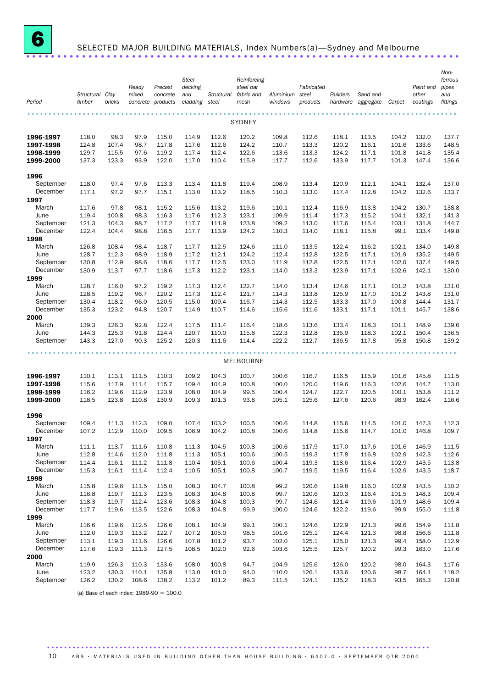

# <sup>6</sup> SELECTED MAJOR BUILDING MATERIALS, Index Numbers(a)—Sydney and Melbourne ......................................................................

| Period                 | Structural Clay<br>timber | bricks         | Ready<br>mixed | Precast<br>concrete<br>concrete products | <b>Steel</b><br>decking<br>and<br>cladding | Structural<br>steel | Reinforcing<br>steel bar<br>fabric and<br>mesh | Aluminium<br>windows | Fabricated<br>steel<br>products | <b>Builders</b> | Sand and<br>hardware aggregate | Carpet         | Paint and<br>other<br>coatings | Non-<br>ferrous<br>pipes<br>and<br>fittings |
|------------------------|---------------------------|----------------|----------------|------------------------------------------|--------------------------------------------|---------------------|------------------------------------------------|----------------------|---------------------------------|-----------------|--------------------------------|----------------|--------------------------------|---------------------------------------------|
|                        |                           |                |                |                                          |                                            |                     | <b>SYDNEY</b>                                  |                      |                                 |                 |                                |                |                                |                                             |
| 1996-1997              | 118.0                     | 98.3           | 97.9           | 115.0                                    | 114.9                                      | 112.6               | 120.2                                          | 109.8                | 112.6                           | 118.1           | 113.5                          | 104.2          | 132.0                          | 137.7                                       |
| 1997-1998              | 124.8                     | 107.4          | 98.7           | 117.8                                    | 117.6                                      | 112.6               | 124.2                                          | 110.7                | 113.3                           | 120.2           | 116.1                          | 101.6          | 133.6                          | 148.5                                       |
| 1998-1999<br>1999-2000 | 129.7<br>137.3            | 115.5<br>123.3 | 97.6<br>93.9   | 119.2<br>122.0                           | 117.4<br>117.0                             | 112.4<br>110.4      | 122.6<br>115.9                                 | 113.6<br>117.7       | 113.3<br>112.6                  | 124.2<br>133.9  | 117.1<br>117.7                 | 101.8<br>101.3 | 141.8<br>147.4                 | 135.4<br>136.6                              |
|                        |                           |                |                |                                          |                                            |                     |                                                |                      |                                 |                 |                                |                |                                |                                             |
| 1996                   |                           |                |                |                                          |                                            |                     |                                                |                      |                                 |                 |                                |                |                                |                                             |
| September<br>December  | 118.0<br>117.1            | 97.4<br>97.2   | 97.6<br>97.7   | 113.3<br>115.1                           | 113.4<br>113.0                             | 111.8<br>113.2      | 119.4<br>118.5                                 | 108.9<br>110.3       | 113.4<br>113.0                  | 120.9<br>117.4  | 112.1<br>112.8                 | 104.1<br>104.2 | 132.4<br>132.6                 | 137.0<br>133.7                              |
| 1997                   |                           |                |                |                                          |                                            |                     |                                                |                      |                                 |                 |                                |                |                                |                                             |
| March                  | 117.6                     | 97.8           | 98.1           | 115.2                                    | 115.6                                      | 113.2               | 119.6                                          | 110.1                | 112.4                           | 116.9           | 113.8                          | 104.2          | 130.7                          | 138.8                                       |
| June                   | 119.4                     | 100.8          | 98.3           | 116.3                                    | 117.6                                      | 112.3               | 123.1                                          | 109.9                | 111.4                           | 117.3           | 115.2                          | 104.1          | 132.1                          | 141.3                                       |
| September              | 121.3                     | 104.3          | 98.7           | 117.2                                    | 117.7                                      | 111.9               | 123.8                                          | 109.2                | 113.0                           | 117.6           | 115.4                          | 103.1          | 131.8                          | 144.7                                       |
| December               | 122.4                     | 104.4          | 98.8           | 116.5                                    | 117.7                                      | 113.9               | 124.2                                          | 110.3                | 114.0                           | 118.1           | 115.8                          | 99.1           | 133.4                          | 149.8                                       |
| 1998                   |                           |                |                |                                          |                                            |                     |                                                |                      |                                 |                 |                                |                |                                |                                             |
| March                  | 126.8                     | 108.4          | 98.4           | 118.7                                    | 117.7                                      | 112.5               | 124.6                                          | 111.0                | 113.5                           | 122.4           | 116.2                          | 102.1          | 134.0                          | 149.8                                       |
| June                   | 128.7                     | 112.3          | 98.9           | 118.9                                    | 117.2                                      | 112.1               | 124.2                                          | 112.4                | 112.8                           | 122.5           | 117.1                          | 101.9          | 135.2                          | 149.5                                       |
| September              | 130.8                     | 112.9          | 98.6           | 118.6                                    | 117.7                                      | 112.5               | 123.0                                          | 111.9                | 112.8                           | 122.5           | 117.1                          | 102.0          | 137.4                          | 149.5                                       |
| December               | 130.9                     | 113.7          | 97.7           | 118.6                                    | 117.3                                      | 112.2               | 123.1                                          | 114.0                | 113.3                           | 123.9           | 117.1                          | 102.6          | 142.1                          | 130.0                                       |
| 1999<br>March          | 128.7                     | 116.0          | 97.2           | 119.2                                    | 117.3                                      | 112.4               | 122.7                                          | 114.0                | 113.4                           | 124.6           | 117.1                          | 101.2          | 143.8                          | 131.0                                       |
| June                   | 128.5                     | 119.2          | 96.7           | 120.2                                    | 117.3                                      | 112.4               | 121.7                                          | 114.3                | 113.8                           | 125.9           | 117.0                          | 101.2          | 143.8                          | 131.0                                       |
| September              | 130.4                     | 118.2          | 96.0           | 120.5                                    | 115.0                                      | 109.4               | 116.7                                          | 114.3                | 112.5                           | 133.3           | 117.0                          | 100.8          | 144.4                          | 131.7                                       |
| December               | 135.3                     | 123.2          | 94.8           | 120.7                                    | 114.9                                      | 110.7               | 114.6                                          | 115.6                | 111.6                           | 133.1           | 117.1                          | 101.1          | 145.7                          | 138.6                                       |
| 2000                   |                           |                |                |                                          |                                            |                     |                                                |                      |                                 |                 |                                |                |                                |                                             |
| March                  | 139.3                     | 126.3          | 92.8           | 122.4                                    | 117.5                                      | 111.4               | 116.4                                          | 118.6                | 113.6                           | 133.4           | 118.3                          | 101.1          | 148.9                          | 139.6                                       |
| June                   | 144.3                     | 125.3          | 91.8           | 124.4                                    | 120.7                                      | 110.0               | 115.8                                          | 122.3                | 112.8                           | 135.9           | 118.3                          | 102.1          | 150.4                          | 136.5                                       |
| September              | 143.3                     | 127.0          | 90.3           | 125.2                                    | 120.3                                      | 111.6               | 114.4                                          | 122.2                | 112.7                           | 136.5           | 117.8                          | 95.8           | 150.8                          | 139.2                                       |
|                        |                           |                |                |                                          |                                            |                     | MELBOURNE                                      |                      |                                 |                 |                                |                |                                |                                             |
| 1996-1997              | 110.1                     | 113.1          | 111.5          | 110.3                                    | 109.2                                      | 104.3               | 100.7                                          | 100.6                | 116.7                           | 116.5           | 115.9                          | 101.6          | 145.8                          | 111.5                                       |
| 1997-1998              | 115.6                     | 117.9          | 111.4          | 115.7                                    | 109.4                                      | 104.9               | 100.8                                          | 100.0                | 120.0                           | 119.6           | 116.3                          | 102.6          | 144.7                          | 113.0                                       |
| 1998-1999              | 116.2                     | 119.6          | 112.9          | 123.9                                    | 108.0                                      | 104.9               | 99.5                                           | 100.4                | 124.7                           | 122.7           | 120.5                          | 100.1          | 153.8                          | 111.2                                       |
| 1999-2000              | 118.5                     | 123.8          | 110.8          | 130.9                                    | 109.3                                      | 101.3               | 93.8                                           | 105.1                | 125.6                           | 127.6           | 120.6                          | 98.9           | 162.4                          | 116.6                                       |
| 1996                   |                           |                |                |                                          |                                            |                     |                                                |                      |                                 |                 |                                |                |                                |                                             |
| September              | 109.4                     | 111.3          | 112.3          | 109.0                                    | 107.4                                      | 103.2               | 100.5                                          | 100.6                | 114.8                           | 115.6           | 114.5                          | 101.0          | 147.3                          | 112.3                                       |
| December               | 107.2                     | 112.9          | 110.0          | 109.5                                    | 106.9                                      | 104.2               | 100.8                                          | 100.6                | 114.8                           | 115.6           | 114.7                          | 101.0          | 146.8                          | 109.7                                       |
| 1997                   |                           |                |                |                                          |                                            |                     |                                                |                      |                                 |                 |                                |                |                                |                                             |
| March                  | 111.1                     | 113.7          | 111.6          | 110.8                                    | 111.3                                      | 104.5               | 100.8                                          | 100.6                | 117.9                           | 117.0           | 117.6                          | 101.6          | 146.9                          | 111.5                                       |
| June                   | 112.8                     | 114.6          | 112.0          | 111.8                                    | 111.3                                      | 105.1               | 100.6                                          | 100.5                | 119.3                           | 117.8           | 116.8                          | 102.9          | 142.3                          | 112.6                                       |
| September<br>December  | 114.4<br>115.3            | 116.1<br>116.1 | 111.2<br>111.4 | 111.8<br>112.4                           | 110.4<br>110.5                             | 105.1<br>105.1      | 100.6<br>100.8                                 | 100.4<br>100.7       | 119.3<br>119.5                  | 118.6<br>119.5  | 116.4<br>116.4                 | 102.9<br>102.9 | 143.5<br>143.5                 | 113.8<br>118.7                              |
| 1998                   |                           |                |                |                                          |                                            |                     |                                                |                      |                                 |                 |                                |                |                                |                                             |
| March                  | 115.8                     | 119.6          | 111.5          | 115.0                                    | 108.3                                      | 104.7               | 100.8                                          | 99.2                 | 120.6                           | 119.8           | 116.0                          | 102.9          | 143.5                          | 110.2                                       |
| June                   | 116.8                     | 119.7          | 111.3          | 123.5                                    | 108.3                                      | 104.8               | 100.8                                          | 99.7                 | 120.6                           | 120.3           | 116.4                          | 101.5          | 148.3                          | 109.4                                       |
| September              | 118.3                     | 119.7          | 112.4          | 123.6                                    | 108.3                                      | 104.8               | 100.3                                          | 99.7                 | 124.6                           | 121.4           | 119.6                          | 101.9          | 148.6                          | 109.4                                       |
| December               | 117.7                     | 119.6          | 113.5          | 122.6                                    | 108.3                                      | 104.8               | 99.9                                           | 100.0                | 124.6                           | 122.2           | 119.6                          | 99.9           | 155.0                          | 111.8                                       |
| 1999                   |                           |                |                |                                          |                                            |                     |                                                |                      |                                 |                 |                                |                |                                |                                             |
| March                  | 116.6                     | 119.6          | 112.5          | 126.6                                    | 108.1                                      | 104.9               | 99.1                                           | 100.1                | 124.6                           | 122.9           | 121.3                          | 99.6           | 154.9                          | 111.8                                       |
| June                   | 112.0                     | 119.3          | 113.2          | 122.7                                    | 107.2                                      | 105.0               | 98.5                                           | 101.6                | 125.1                           | 124.4           | 121.3                          | 98.8           | 156.6                          | 111.8                                       |
| September              | 113.1                     | 119.3          | 111.6          | 126.6                                    | 107.8                                      | 101.2               | 93.7                                           | 102.0                | 125.1                           | 125.0           | 121.3                          | 99.4           | 158.0                          | 112.9                                       |
| December               | 117.6                     | 119.3          | 111.3          | 127.5                                    | 108.5                                      | 102.0               | 92.6                                           | 103.6                | 125.5                           | 125.7           | 120.2                          | 99.3           | 163.0                          | 117.6                                       |
| 2000                   |                           |                |                |                                          |                                            |                     |                                                |                      |                                 |                 |                                |                |                                |                                             |
| March<br>June          | 119.9<br>123.2            | 126.3<br>130.3 | 110.3<br>110.1 | 133.6<br>135.8                           | 108.0<br>113.0                             | 100.8<br>101.0      | 94.7<br>94.0                                   | 104.9<br>110.0       | 125.6<br>126.1                  | 126.0<br>133.6  | 120.2<br>120.6                 | 98.0<br>98.7   | 164.3<br>164.1                 | 117.6<br>118.2                              |
| September              | 126.2                     | 130.2          | 108.6          | 138.2                                    | 113.2                                      | 101.2               | 89.3                                           | 111.5                | 124.1                           | 135.2           | 118.3                          | 93.5           | 165.3                          | 120.8                                       |
|                        |                           |                |                |                                          |                                            |                     |                                                |                      |                                 |                 |                                |                |                                |                                             |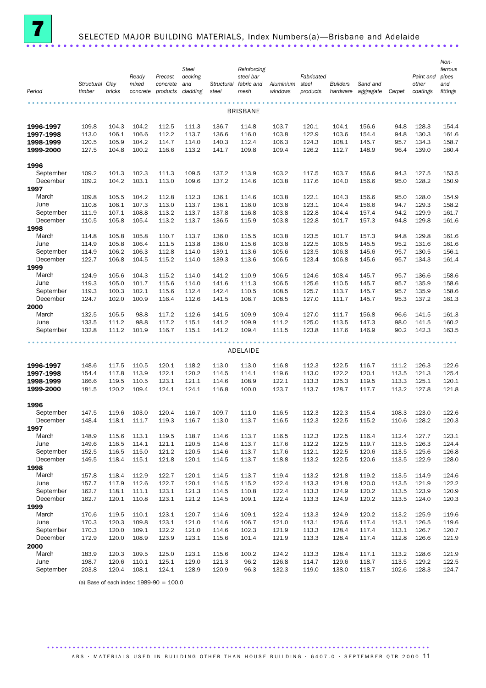

## SELECTED MAJOR BUILDING MATERIALS, Index Numbers(a)—Brisbane and Adelaide ......................................................................

| Period           | Structural Clay<br>timber | bricks | Ready<br>mixed<br>concrete | Precast<br>concrete<br>products | <b>Steel</b><br>decking<br>and<br>cladding | Structural<br>steel | Reinforcing<br>steel bar<br>fabric and<br>mesh | Aluminium<br>windows | Fabricated<br>steel<br>products | <b>Builders</b><br>hardware | Sand and<br>aggregate | Carpet | Paint and<br>other<br>coatings | Non-<br>ferrous<br>pipes<br>and<br>fittings |
|------------------|---------------------------|--------|----------------------------|---------------------------------|--------------------------------------------|---------------------|------------------------------------------------|----------------------|---------------------------------|-----------------------------|-----------------------|--------|--------------------------------|---------------------------------------------|
|                  |                           |        |                            |                                 |                                            |                     | <b>BRISBANE</b>                                |                      |                                 |                             |                       |        |                                |                                             |
| 1996-1997        | 109.8                     | 104.3  | 104.2                      | 112.5                           | 111.3                                      | 136.7               | 114.8                                          | 103.7                | 120.1                           | 104.1                       | 156.6                 | 94.8   | 128.3                          | 154.4                                       |
| 1997-1998        | 113.0                     | 106.1  | 106.6                      | 112.2                           | 113.7                                      | 136.6               | 116.0                                          | 103.8                | 122.9                           | 103.6                       | 154.4                 | 94.8   | 130.3                          | 161.6                                       |
| 1998-1999        | 120.5                     | 105.9  | 104.2                      | 114.7                           | 114.0                                      | 140.3               | 112.4                                          | 106.3                | 124.3                           | 108.1                       | 145.7                 | 95.7   | 134.3                          | 158.7                                       |
| 1999-2000        | 127.5                     | 104.8  | 100.2                      | 116.6                           | 113.2                                      | 141.7               | 109.8                                          | 109.4                | 126.2                           | 112.7                       | 148.9                 | 96.4   | 139.0                          | 160.4                                       |
| 1996             |                           |        |                            |                                 |                                            |                     |                                                |                      |                                 |                             |                       |        |                                |                                             |
| September        | 109.2                     | 101.3  | 102.3                      | 111.3                           | 109.5                                      | 137.2               | 113.9                                          | 103.2                | 117.5                           | 103.7                       | 156.6                 | 94.3   | 127.5                          | 153.5                                       |
| December         | 109.2                     | 104.2  | 103.1                      | 113.0                           | 109.6                                      | 137.2               | 114.6                                          | 103.8                | 117.6                           | 104.0                       | 156.6                 | 95.0   | 128.2                          | 150.9                                       |
| 1997             | 109.8                     | 105.5  | 104.2                      | 112.8                           | 112.3                                      | 136.1               | 114.6                                          | 103.8                |                                 | 104.3                       | 156.6                 | 95.0   | 128.0                          | 154.9                                       |
| March<br>June    | 110.8                     | 106.1  | 107.3                      | 113.0                           | 113.7                                      | 136.1               | 116.0                                          | 103.8                | 122.1<br>123.1                  | 104.4                       | 156.6                 | 94.7   | 129.3                          | 158.2                                       |
| September        | 111.9                     | 107.1  | 108.8                      | 113.2                           | 113.7                                      | 137.8               | 116.8                                          | 103.8                | 122.8                           | 104.4                       | 157.4                 | 94.2   | 129.9                          | 161.7                                       |
| December         | 110.5                     | 105.8  | 105.4                      | 113.2                           | 113.7                                      | 136.5               | 115.9                                          | 103.8                | 122.8                           | 101.7                       | 157.3                 | 94.8   | 129.8                          | 161.6                                       |
| 1998             |                           |        |                            |                                 |                                            |                     |                                                |                      |                                 |                             |                       |        |                                |                                             |
| March            | 114.8                     | 105.8  | 105.8                      | 110.7                           | 113.7                                      | 136.0               | 115.5                                          | 103.8                | 123.5                           | 101.7                       | 157.3                 | 94.8   | 129.8                          | 161.6                                       |
| June             | 114.9                     | 105.8  | 106.4                      | 111.5                           | 113.8                                      | 136.0               | 115.6                                          | 103.8                | 122.5                           | 106.5                       | 145.5                 | 95.2   | 131.6                          | 161.6                                       |
| September        | 114.9                     | 106.2  | 106.3                      | 112.8                           | 114.0                                      | 139.1               | 113.6                                          | 105.6                | 123.5                           | 106.8                       | 145.6                 | 95.7   | 130.5                          | 156.1                                       |
| December         | 122.7                     | 106.8  | 104.5                      | 115.2                           | 114.0                                      | 139.3               | 113.6                                          | 106.5                | 123.4                           | 106.8                       | 145.6                 | 95.7   | 134.3                          | 161.4                                       |
| 1999             |                           |        |                            |                                 |                                            |                     |                                                |                      |                                 |                             |                       |        |                                |                                             |
| March            | 124.9                     | 105.6  | 104.3                      | 115.2                           | 114.0                                      | 141.2               | 110.9                                          | 106.5                | 124.6                           | 108.4                       | 145.7                 | 95.7   | 136.6                          | 158.6                                       |
| June             | 119.3                     | 105.0  | 101.7                      | 115.6                           | 114.0                                      | 141.6               | 111.3                                          | 106.5                | 125.6                           | 110.5                       | 145.7                 | 95.7   | 135.9                          | 158.6                                       |
| September        | 119.3                     | 100.3  | 102.1                      | 115.6                           | 112.4                                      | 142.4               | 110.5                                          | 108.5                | 125.7                           | 113.7                       | 145.7                 | 95.7   | 135.9                          | 158.6                                       |
| December<br>2000 | 124.7                     | 102.0  | 100.9                      | 116.4                           | 112.6                                      | 141.5               | 108.7                                          | 108.5                | 127.0                           | 111.7                       | 145.7                 | 95.3   | 137.2                          | 161.3                                       |
| March            | 132.5                     | 105.5  | 98.8                       | 117.2                           | 112.6                                      | 141.5               | 109.9                                          | 109.4                | 127.0                           | 111.7                       | 156.8                 | 96.6   | 141.5                          | 161.3                                       |
| June             | 133.5                     | 111.2  | 98.8                       | 117.2                           | 115.1                                      | 141.2               | 109.9                                          | 111.2                | 125.0                           | 113.5                       | 147.3                 | 98.0   | 141.5                          | 160.2                                       |
| September        | 132.8                     | 111.2  | 101.9                      | 116.7                           | 115.1                                      | 141.2               | 109.4                                          | 111.5                | 123.8                           | 117.6                       | 146.9                 | 90.2   | 142.3                          | 163.5                                       |
|                  |                           |        |                            |                                 |                                            |                     |                                                |                      |                                 |                             |                       |        |                                |                                             |
|                  |                           |        |                            |                                 |                                            |                     | ADELAIDE                                       |                      |                                 |                             |                       |        |                                |                                             |
| 1996-1997        | 148.6                     | 117.5  | 110.5                      | 120.1                           | 118.2                                      | 113.0               | 113.0                                          | 116.8                | 112.3                           | 122.5                       | 116.7                 | 111.2  | 126.3                          | 122.6                                       |
| 1997-1998        | 154.4                     | 117.8  | 113.9                      | 122.1                           | 120.2                                      | 114.5               | 114.1                                          | 119.6                | 113.0                           | 122.2                       | 120.1                 | 113.5  | 121.3                          | 125.4                                       |
| 1998-1999        | 166.6                     | 119.5  | 110.5                      | 123.1                           | 121.1                                      | 114.6               | 108.9                                          | 122.1                | 113.3                           | 125.3                       | 119.5                 | 113.3  | 125.1                          | 120.1                                       |
| 1999-2000        | 181.5                     | 120.2  | 109.4                      | 124.1                           | 124.1                                      | 116.8               | 100.0                                          | 123.7                | 113.7                           | 128.7                       | 117.7                 | 113.2  | 127.8                          | 121.8                                       |
| 1996             |                           |        |                            |                                 |                                            |                     |                                                |                      |                                 |                             |                       |        |                                |                                             |
| September        | 147.5                     | 119.6  | 103.0                      | 120.4                           | 116.7                                      | 109.7               | 111.0                                          | 116.5                | 112.3                           | 122.3                       | 115.4                 | 108.3  | 123.0                          | 122.6                                       |
| December         | 148.4                     | 118.1  | 111.7                      | 119.3                           | 116.7                                      | 113.0               | 113.7                                          | 116.5                | 112.3                           | 122.5                       | 115.2                 | 110.6  | 128.2                          | 120.3                                       |
| 1997             |                           |        |                            |                                 |                                            |                     |                                                |                      |                                 |                             |                       |        |                                |                                             |
| March            | 148.9                     | 115.6  | 113.1                      | 119.5                           | 118.7                                      | 114.6               | 113.7                                          | 116.5                | 112.3                           | 122.5                       | 116.4                 | 112.4  | 127.7                          | 123.1                                       |
| June             | 149.6                     | 116.5  | 114.1                      | 121.1                           | 120.5                                      | 114.6               | 113.7                                          | 117.6                | 112.2                           | 122.5                       | 119.7                 | 113.5  | 126.3                          | 124.4                                       |
| September        | 152.5                     | 116.5  | 115.0                      | 121.2                           | 120.5                                      | 114.6               | 113.7                                          | 117.6                | 112.1                           | 122.5                       | 120.6                 | 113.5  | 125.6                          | 126.8                                       |
| December         | 149.5                     | 118.4  | 115.1                      | 121.8                           | 120.1                                      | 114.5               | 113.7                                          | 118.8                | 113.2                           | 122.5                       | 120.6                 | 113.5  | 122.9                          | 128.0                                       |
| 1998<br>March    | 157.8                     | 118.4  | 112.9                      | 122.7                           | 120.1                                      | 114.5               | 113.7                                          | 119.4                | 113.2                           | 121.8                       | 119.2                 | 113.5  | 114.9                          | 124.6                                       |
| June             | 157.7                     | 117.9  | 112.6                      | 122.7                           | 120.1                                      | 114.5               | 115.2                                          | 122.4                | 113.3                           | 121.8                       | 120.0                 | 113.5  | 121.9                          | 122.2                                       |
| September        | 162.7                     | 118.1  | 111.1                      | 123.1                           | 121.3                                      | 114.5               | 110.8                                          | 122.4                | 113.3                           | 124.9                       | 120.2                 | 113.5  | 123.9                          | 120.9                                       |
| December         | 162.7                     | 120.1  | 110.8                      | 123.1                           | 121.2                                      | 114.5               | 109.1                                          | 122.4                | 113.3                           | 124.9                       | 120.2                 | 113.5  | 124.0                          | 120.3                                       |
| 1999             |                           |        |                            |                                 |                                            |                     |                                                |                      |                                 |                             |                       |        |                                |                                             |
| March            | 170.6                     | 119.5  | 110.1                      | 123.1                           | 120.7                                      | 114.6               | 109.1                                          | 122.4                | 113.3                           | 124.9                       | 120.2                 | 113.2  | 125.9                          | 119.6                                       |
| June             | 170.3                     | 120.3  | 109.8                      | 123.1                           | 121.0                                      | 114.6               | 106.7                                          | 121.0                | 113.1                           | 126.6                       | 117.4                 | 113.1  | 126.5                          | 119.6                                       |
| September        | 170.3                     | 120.0  | 109.1                      | 122.2                           | 121.0                                      | 114.6               | 102.3                                          | 121.9                | 113.3                           | 128.4                       | 117.4                 | 113.1  | 126.7                          | 120.7                                       |
| December         | 172.9                     | 120.0  | 108.9                      | 123.9                           | 123.1                                      | 115.6               | 101.4                                          | 121.9                | 113.3                           | 128.4                       | 117.4                 | 112.8  | 126.6                          | 121.9                                       |
| 2000             |                           |        |                            |                                 |                                            |                     |                                                |                      |                                 |                             |                       |        |                                |                                             |
| March            | 183.9                     | 120.3  | 109.5                      | 125.0                           | 123.1                                      | 115.6               | 100.2                                          | 124.2                | 113.3                           | 128.4                       | 117.1                 | 113.2  | 128.6                          | 121.9                                       |
| June             | 198.7                     | 120.6  | 110.1                      | 125.1                           | 129.0                                      | 121.3               | 96.2                                           | 126.8                | 114.7                           | 129.6                       | 118.7                 | 113.5  | 129.2                          | 122.5                                       |
| September        | 203.8                     | 120.4  | 108.1                      | 124.1                           | 128.9                                      | 120.9               | 96.3                                           | 132.3                | 119.0                           | 138.0                       | 118.7                 | 102.6  | 128.3                          | 124.7                                       |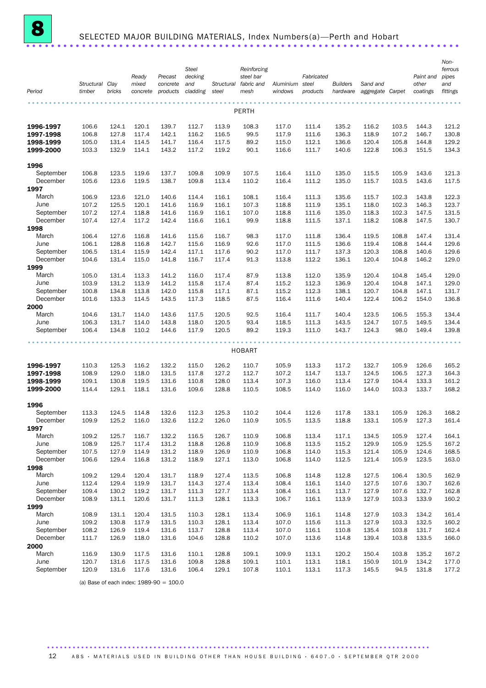

## SELECTED MAJOR BUILDING MATERIALS, Index Numbers(a)—Perth and Hobart ......................................................................

| Period                 | Structural Clay<br>timber | bricks         | Ready<br>mixed<br>concrete | Precast<br>concrete<br>products | <b>Steel</b><br>decking<br>and<br>cladding | Structural<br>steel | Reinforcing<br>steel bar<br>fabric and<br>mesh | Aluminium<br>windows | Fabricated<br>steel<br>products | <b>Builders</b><br>hardware | Sand and<br>aggregate | Carpet         | Paint and<br>other<br>coatings | Non-<br>ferrous<br>pipes<br>and<br>fittings |
|------------------------|---------------------------|----------------|----------------------------|---------------------------------|--------------------------------------------|---------------------|------------------------------------------------|----------------------|---------------------------------|-----------------------------|-----------------------|----------------|--------------------------------|---------------------------------------------|
|                        |                           |                |                            |                                 |                                            |                     | PERTH                                          |                      |                                 |                             |                       |                |                                |                                             |
| 1996-1997              | 106.6                     | 124.1          | 120.1                      | 139.7                           | 112.7                                      | 113.9               | 108.3                                          | 117.0                | 111.4                           | 135.2                       | 116.2                 | 103.5          | 144.3                          | 121.2                                       |
| 1997-1998              | 106.8                     | 127.8          | 117.4                      | 142.1                           | 116.2                                      | 116.5               | 99.5                                           | 117.9                | 111.6                           | 136.3                       | 118.9                 | 107.2          | 146.7                          | 130.8                                       |
| 1998-1999<br>1999-2000 | 105.0<br>103.3            | 131.4<br>132.9 | 114.5<br>114.1             | 141.7<br>143.2                  | 116.4<br>117.2                             | 117.5<br>119.2      | 89.2<br>90.1                                   | 115.0<br>116.6       | 112.1<br>111.7                  | 136.6<br>140.6              | 120.4<br>122.8        | 105.8<br>106.3 | 144.8<br>151.5                 | 129.2<br>134.3                              |
| 1996                   |                           |                |                            |                                 |                                            |                     |                                                |                      |                                 |                             |                       |                |                                |                                             |
| September              | 106.8                     | 123.5          | 119.6                      | 137.7                           | 109.8                                      | 109.9               | 107.5                                          | 116.4                | 111.0                           | 135.0                       | 115.5                 | 105.9          | 143.6                          | 121.3                                       |
| December               | 105.6                     | 123.6          | 119.5                      | 138.7                           | 109.8                                      | 113.4               | 110.2                                          | 116.4                | 111.2                           | 135.0                       | 115.7                 | 103.5          | 143.6                          | 117.5                                       |
| 1997                   |                           |                |                            |                                 |                                            |                     |                                                |                      |                                 |                             |                       |                |                                |                                             |
| March                  | 106.9                     | 123.6          | 121.0                      | 140.6                           | 114.4                                      | 116.1               | 108.1                                          | 116.4                | 111.3                           | 135.6                       | 115.7                 | 102.3          | 143.8                          | 122.3                                       |
| June                   | 107.2                     | 125.5          | 120.1                      | 141.6                           | 116.9                                      | 116.1               | 107.3                                          | 118.8                | 111.9                           | 135.1                       | 118.0                 | 102.3          | 146.3                          | 123.7                                       |
| September<br>December  | 107.2<br>107.4            | 127.4<br>127.4 | 118.8<br>117.2             | 141.6<br>142.4                  | 116.9<br>116.6                             | 116.1<br>116.1      | 107.0<br>99.9                                  | 118.8<br>118.8       | 111.6<br>111.5                  | 135.0<br>137.1              | 118.3<br>118.2        | 102.3<br>108.8 | 147.5<br>147.5                 | 131.5<br>130.7                              |
| 1998                   |                           |                |                            |                                 |                                            |                     |                                                |                      |                                 |                             |                       |                |                                |                                             |
| March                  | 106.4                     | 127.6          | 116.8                      | 141.6                           | 115.6                                      | 116.7               | 98.3                                           | 117.0                | 111.8                           | 136.4                       | 119.5                 | 108.8          | 147.4                          | 131.4                                       |
| June                   | 106.1                     | 128.8          | 116.8                      | 142.7                           | 115.6                                      | 116.9               | 92.6                                           | 117.0                | 111.5                           | 136.6                       | 119.4                 | 108.8          | 144.4                          | 129.6                                       |
| September              | 106.5                     | 131.4          | 115.9                      | 142.4                           | 117.1                                      | 117.6               | 90.2                                           | 117.0                | 111.7                           | 137.3                       | 120.3                 | 108.8          | 140.6                          | 129.6                                       |
| December               | 104.6                     | 131.4          | 115.0                      | 141.8                           | 116.7                                      | 117.4               | 91.3                                           | 113.8                | 112.2                           | 136.1                       | 120.4                 | 104.8          | 146.2                          | 129.0                                       |
| 1999<br>March          |                           | 131.4          | 113.3                      | 141.2                           | 116.0                                      | 117.4               |                                                |                      |                                 | 135.9                       | 120.4                 | 104.8          | 145.4                          |                                             |
| June                   | 105.0<br>103.9            | 131.2          | 113.9                      | 141.2                           | 115.8                                      | 117.4               | 87.9<br>87.4                                   | 113.8<br>115.2       | 112.0<br>112.3                  | 136.9                       | 120.4                 | 104.8          | 147.1                          | 129.0<br>129.0                              |
| September              | 100.8                     | 134.8          | 113.8                      | 142.0                           | 115.8                                      | 117.1               | 87.1                                           | 115.2                | 112.3                           | 138.1                       | 120.7                 | 104.8          | 147.1                          | 131.7                                       |
| December               | 101.6                     | 133.3          | 114.5                      | 143.5                           | 117.3                                      | 118.5               | 87.5                                           | 116.4                | 111.6                           | 140.4                       | 122.4                 | 106.2          | 154.0                          | 136.8                                       |
| 2000                   |                           |                |                            |                                 |                                            |                     |                                                |                      |                                 |                             |                       |                |                                |                                             |
| March                  | 104.6                     | 131.7          | 114.0                      | 143.6                           | 117.5                                      | 120.5               | 92.5                                           | 116.4                | 111.7                           | 140.4                       | 123.5                 | 106.5          | 155.3                          | 134.4                                       |
| June                   | 106.3                     | 131.7          | 114.0                      | 143.8                           | 118.0                                      | 120.5               | 93.4                                           | 118.5                | 111.3                           | 143.5                       | 124.7                 | 107.5          | 149.5                          | 134.4                                       |
| September              | 106.4                     | 134.8          | 110.2                      | 144.6                           | 117.9                                      | 120.5               | 89.2                                           | 119.3                | 111.0                           | 143.7                       | 124.3                 | 98.0           | 149.4                          | 139.8                                       |
|                        |                           |                |                            |                                 |                                            |                     | <b>HOBART</b>                                  |                      |                                 |                             |                       |                |                                |                                             |
| 1996-1997              | 110.3                     | 125.3          | 116.2                      | 132.2                           | 115.0                                      | 126.2               | 110.7                                          | 105.9                | 113.3                           | 117.2                       | 132.7                 | 105.9          | 126.6                          | 165.2                                       |
| 1997-1998              | 108.9                     | 129.0          | 118.0                      | 131.5                           | 117.8                                      | 127.2               | 112.7                                          | 107.2                | 114.7                           | 113.7                       | 124.5                 | 106.5          | 127.3                          | 164.3                                       |
| 1998-1999              | 109.1                     | 130.8          | 119.5                      | 131.6                           | 110.8                                      | 128.0               | 113.4                                          | 107.3                | 116.0                           | 113.4                       | 127.9                 | 104.4          | 133.3                          | 161.2                                       |
| 1999-2000              | 114.4                     | 129.1          | 118.1                      | 131.6                           | 109.6                                      | 128.8               | 110.5                                          | 108.5                | 114.0                           | 116.0                       | 144.0                 | 103.3          | 133.7                          | 168.2                                       |
| 1996                   |                           |                |                            |                                 |                                            |                     |                                                |                      |                                 |                             |                       |                |                                |                                             |
| September              | 113.3                     | 124.5          | 114.8                      | 132.6                           | 112.3                                      | 125.3               | 110.2                                          | 104.4                | 112.6                           | 117.8                       | 133.1                 | 105.9          | 126.3                          | 168.2                                       |
| December               | 109.9                     | 125.2          | 116.0                      | 132.6                           | 112.2                                      | 126.0               | 110.9                                          | 105.5                | 113.5                           | 118.8                       | 133.1                 | 105.9          | 127.3                          | 161.4                                       |
| 1997                   |                           |                |                            |                                 |                                            |                     |                                                |                      |                                 |                             |                       |                |                                |                                             |
| March<br>June          | 109.2<br>108.9            | 125.7<br>125.7 | 116.7<br>117.4             | 132.2<br>131.2                  | 116.5<br>118.8                             | 126.7<br>126.8      | 110.9<br>110.9                                 | 106.8<br>106.8       | 113.4<br>113.5                  | 117.1<br>115.2              | 134.5<br>129.9        | 105.9<br>105.9 | 127.4<br>125.5                 | 164.1<br>167.2                              |
| September              | 107.5                     | 127.9          | 114.9                      | 131.2                           | 118.9                                      | 126.9               | 110.9                                          | 106.8                | 114.0                           | 115.3                       | 121.4                 | 105.9          | 124.6                          | 168.5                                       |
| December               | 106.6                     | 129.4          | 116.8                      | 131.2                           | 118.9                                      | 127.1               | 113.0                                          | 106.8                | 114.0                           | 112.5                       | 121.4                 | 105.9          | 123.5                          | 163.0                                       |
| 1998                   |                           |                |                            |                                 |                                            |                     |                                                |                      |                                 |                             |                       |                |                                |                                             |
| March                  | 109.2                     | 129.4          | 120.4                      | 131.7                           | 118.9                                      | 127.4               | 113.5                                          | 106.8                | 114.8                           | 112.8                       | 127.5                 | 106.4          | 130.5                          | 162.9                                       |
| June                   | 112.4                     | 129.4          | 119.9                      | 131.7                           | 114.3                                      | 127.4               | 113.4                                          | 108.4                | 116.1                           | 114.0                       | 127.5                 | 107.6          | 130.7                          | 162.6                                       |
| September<br>December  | 109.4                     | 130.2          | 119.2                      | 131.7                           | 111.3                                      | 127.7               | 113.4                                          | 108.4                | 116.1                           | 113.7                       | 127.9                 | 107.6          | 132.7                          | 162.8                                       |
| 1999                   | 108.9                     | 131.1          | 120.6                      | 131.7                           | 111.3                                      | 128.1               | 113.3                                          | 106.7                | 116.1                           | 113.9                       | 127.9                 | 103.3          | 133.9                          | 160.2                                       |
| March                  | 108.9                     | 131.1          | 120.4                      | 131.5                           | 110.3                                      | 128.1               | 113.4                                          | 106.9                | 116.1                           | 114.8                       | 127.9                 | 103.3          | 134.2                          | 161.4                                       |
| June                   | 109.2                     | 130.8          | 117.9                      | 131.5                           | 110.3                                      | 128.1               | 113.4                                          | 107.0                | 115.6                           | 111.3                       | 127.9                 | 103.3          | 132.5                          | 160.2                                       |
| September              | 108.2                     | 126.9          | 119.4                      | 131.6                           | 113.7                                      | 128.8               | 113.4                                          | 107.0                | 116.1                           | 110.8                       | 135.4                 | 103.8          | 131.7                          | 162.4                                       |
| December               | 111.7                     | 126.9          | 118.0                      | 131.6                           | 104.6                                      | 128.8               | 110.2                                          | 107.0                | 113.6                           | 114.8                       | 139.4                 | 103.8          | 133.5                          | 166.0                                       |
| 2000                   |                           |                |                            |                                 |                                            |                     |                                                |                      |                                 |                             |                       |                |                                |                                             |
| March<br>June          | 116.9                     | 130.9          | 117.5                      | 131.6                           | 110.1                                      | 128.8               | 109.1                                          | 109.9                | 113.1<br>113.1                  | 120.2                       | 150.4                 | 103.8          | 135.2<br>134.2                 | 167.2                                       |
| September              | 120.7<br>120.9            | 131.6<br>131.6 | 117.5<br>117.6             | 131.6<br>131.6                  | 109.8<br>106.4                             | 128.8<br>129.1      | 109.1<br>107.8                                 | 110.1<br>110.1       | 113.1                           | 118.1<br>117.3              | 150.9<br>145.5        | 101.9<br>94.5  | 131.8                          | 177.0<br>177.2                              |
|                        |                           |                |                            |                                 |                                            |                     |                                                |                      |                                 |                             |                       |                |                                |                                             |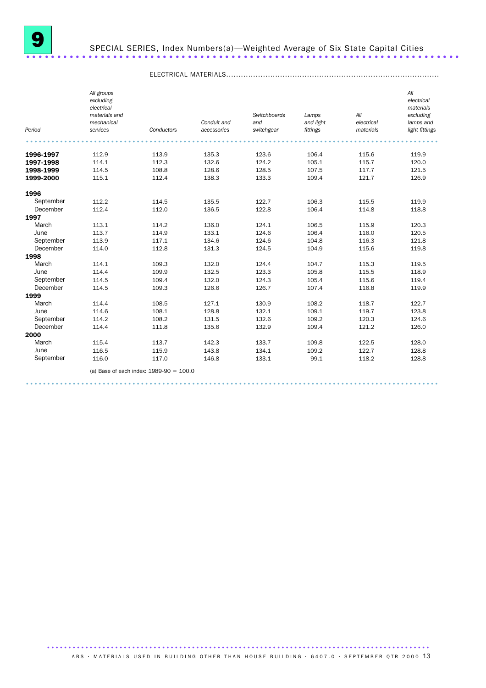

## SPECIAL SERIES, Index Numbers(a)—Weighted Average of Six State Capital Cities ......................................................................

|           | All groups    |                                           |             |              |           |            | All            |
|-----------|---------------|-------------------------------------------|-------------|--------------|-----------|------------|----------------|
|           | excluding     |                                           |             |              |           |            | electrical     |
|           | electrical    |                                           |             |              |           |            | materials      |
|           | materials and |                                           |             | Switchboards | Lamps     | All        | excluding      |
|           | mechanical    |                                           | Conduit and | and          | and light | electrical | lamps and      |
| Period    | services      | Conductors                                | accessories | switchgear   | fittings  | materials  | light fittings |
|           |               |                                           |             |              |           |            |                |
| 1996-1997 | 112.9         | 113.9                                     | 135.3       | 123.6        | 106.4     | 115.6      | 119.9          |
| 1997-1998 | 114.1         | 112.3                                     | 132.6       | 124.2        | 105.1     | 115.7      | 120.0          |
| 1998-1999 | 114.5         | 108.8                                     | 128.6       | 128.5        | 107.5     | 117.7      | 121.5          |
| 1999-2000 | 115.1         | 112.4                                     | 138.3       | 133.3        | 109.4     | 121.7      | 126.9          |
| 1996      |               |                                           |             |              |           |            |                |
| September | 112.2         | 114.5                                     | 135.5       | 122.7        | 106.3     | 115.5      | 119.9          |
| December  | 112.4         | 112.0                                     | 136.5       | 122.8        | 106.4     | 114.8      | 118.8          |
| 1997      |               |                                           |             |              |           |            |                |
| March     | 113.1         | 114.2                                     | 136.0       | 124.1        | 106.5     | 115.9      | 120.3          |
| June      | 113.7         | 114.9                                     | 133.1       | 124.6        | 106.4     | 116.0      | 120.5          |
| September | 113.9         | 117.1                                     | 134.6       | 124.6        | 104.8     | 116.3      | 121.8          |
| December  | 114.0         | 112.8                                     | 131.3       | 124.5        | 104.9     | 115.6      | 119.8          |
| 1998      |               |                                           |             |              |           |            |                |
| March     | 114.1         | 109.3                                     | 132.0       | 124.4        | 104.7     | 115.3      | 119.5          |
| June      | 114.4         | 109.9                                     | 132.5       | 123.3        | 105.8     | 115.5      | 118.9          |
| September | 114.5         | 109.4                                     | 132.0       | 124.3        | 105.4     | 115.6      | 119.4          |
| December  | 114.5         | 109.3                                     | 126.6       | 126.7        | 107.4     | 116.8      | 119.9          |
| 1999      |               |                                           |             |              |           |            |                |
| March     | 114.4         | 108.5                                     | 127.1       | 130.9        | 108.2     | 118.7      | 122.7          |
| June      | 114.6         | 108.1                                     | 128.8       | 132.1        | 109.1     | 119.7      | 123.8          |
| September | 114.2         | 108.2                                     | 131.5       | 132.6        | 109.2     | 120.3      | 124.6          |
| December  | 114.4         | 111.8                                     | 135.6       | 132.9        | 109.4     | 121.2      | 126.0          |
| 2000      |               |                                           |             |              |           |            |                |
| March     | 115.4         | 113.7                                     | 142.3       | 133.7        | 109.8     | 122.5      | 128.0          |
| June      | 116.5         | 115.9                                     | 143.8       | 134.1        | 109.2     | 122.7      | 128.8          |
| September | 116.0         | 117.0                                     | 146.8       | 133.1        | 99.1      | 118.2      | 128.8          |
|           |               | (a) Base of each index: $1989-90 = 100.0$ |             |              |           |            |                |
|           |               |                                           |             |              |           |            |                |

#### ELECTRICAL MATERIALS.......................................................................................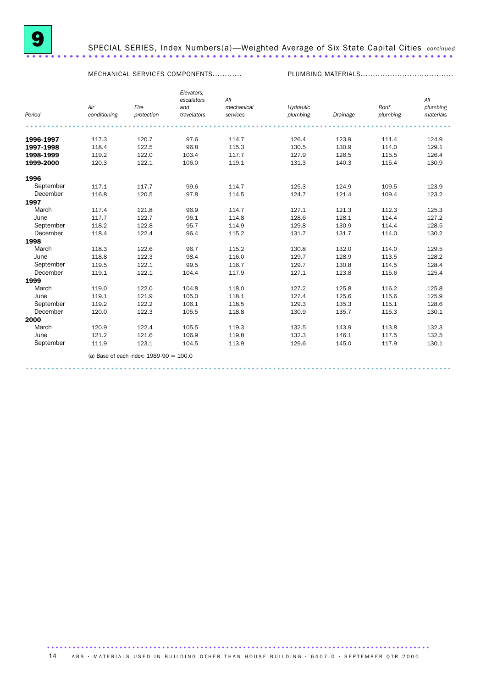

### 9 SPECIAL SERIES, Index Numbers(a)—Weighted Average of Six State Capital Cities *continued* SPECIAL SERIES, Index Numbers(a)—Weighted Average of Six State Capital Cities continued

MECHANICAL SERVICES COMPONENTS............ PLUMBING MATERIALS......................................

|           |                     |                                           | Elevators,<br>escalators | All                    |                       |          |                  | All                   |
|-----------|---------------------|-------------------------------------------|--------------------------|------------------------|-----------------------|----------|------------------|-----------------------|
| Period    | Air<br>conditioning | Fire<br>protection                        | and<br>travelators       | mechanical<br>services | Hydraulic<br>plumbing | Drainage | Roof<br>plumbing | plumbing<br>materials |
|           |                     |                                           |                          |                        |                       |          |                  |                       |
| 1996-1997 | 117.3               | 120.7                                     | 97.6                     | 114.7                  | 126.4                 | 123.9    | 111.4            | 124.9                 |
| 1997-1998 | 118.4               | 122.5                                     | 96.8                     | 115.3                  | 130.5                 | 130.9    | 114.0            | 129.1                 |
| 1998-1999 | 119.2               | 122.0                                     | 103.4                    | 117.7                  | 127.9                 | 126.5    | 115.5            | 126.4                 |
| 1999-2000 | 120.3               | 122.1                                     | 106.0                    | 119.1                  | 131.3                 | 140.3    | 115.4            | 130.9                 |
| 1996      |                     |                                           |                          |                        |                       |          |                  |                       |
| September | 117.1               | 117.7                                     | 99.6                     | 114.7                  | 125.3                 | 124.9    | 109.5            | 123.9                 |
| December  | 116.8               | 120.5                                     | 97.8                     | 114.5                  | 124.7                 | 121.4    | 109.4            | 123.2                 |
| 1997      |                     |                                           |                          |                        |                       |          |                  |                       |
| March     | 117.4               | 121.8                                     | 96.9                     | 114.7                  | 127.1                 | 121.3    | 112.3            | 125.3                 |
| June      | 117.7               | 122.7                                     | 96.1                     | 114.8                  | 128.6                 | 128.1    | 114.4            | 127.2                 |
| September | 118.2               | 122.8                                     | 95.7                     | 114.9                  | 129.8                 | 130.9    | 114.4            | 128.5                 |
| December  | 118.4               | 122.4                                     | 96.4                     | 115.2                  | 131.7                 | 131.7    | 114.0            | 130.2                 |
| 1998      |                     |                                           |                          |                        |                       |          |                  |                       |
| March     | 118.3               | 122.6                                     | 96.7                     | 115.2                  | 130.8                 | 132.0    | 114.0            | 129.5                 |
| June      | 118.8               | 122.3                                     | 98.4                     | 116.0                  | 129.7                 | 128.9    | 113.5            | 128.2                 |
| September | 119.5               | 122.1                                     | 99.5                     | 116.7                  | 129.7                 | 130.8    | 114.5            | 128.4                 |
| December  | 119.1               | 122.1                                     | 104.4                    | 117.9                  | 127.1                 | 123.8    | 115.6            | 125.4                 |
| 1999      |                     |                                           |                          |                        |                       |          |                  |                       |
| March     | 119.0               | 122.0                                     | 104.8                    | 118.0                  | 127.2                 | 125.8    | 116.2            | 125.8                 |
| June      | 119.1               | 121.9                                     | 105.0                    | 118.1                  | 127.4                 | 125.6    | 115.6            | 125.9                 |
| September | 119.2               | 122.2                                     | 106.1                    | 118.5                  | 129.3                 | 135.3    | 115.1            | 128.6                 |
| December  | 120.0               | 122.3                                     | 105.5                    | 118.8                  | 130.9                 | 135.7    | 115.3            | 130.1                 |
| 2000      |                     |                                           |                          |                        |                       |          |                  |                       |
| March     | 120.9               | 122.4                                     | 105.5                    | 119.3                  | 132.5                 | 143.9    | 113.8            | 132.3                 |
| June      | 121.2               | 121.6                                     | 106.9                    | 119.8                  | 132.3                 | 146.1    | 117.5            | 132.5                 |
| September | 111.9               | 123.1                                     | 104.5                    | 113.9                  | 129.6                 | 145.0    | 117.9            | 130.1                 |
|           |                     | (a) Base of each index: $1989-90 = 100.0$ |                          |                        |                       |          |                  |                       |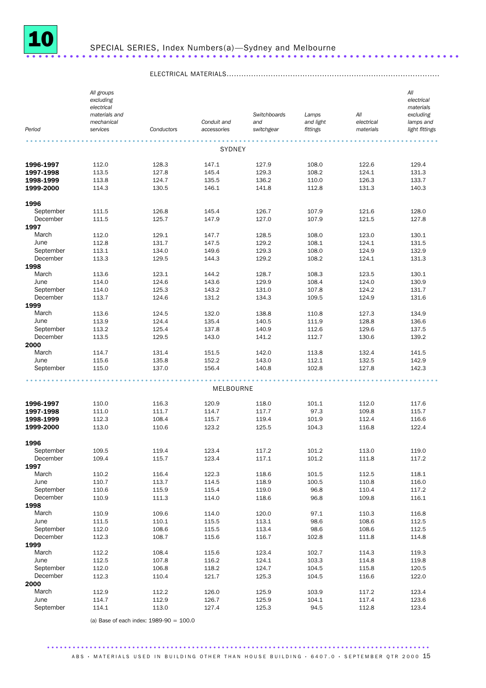

### ELECTRICAL MATERIALS.......................................................................................

| Period                 | All groups<br>excluding<br>electrical<br>materials and<br>mechanical<br>services | Conductors     | Conduit and<br>accessories | Switchboards<br>and<br>switchgear | Lamps<br>and light<br>fittings | All<br>electrical<br>materials | All<br>electrical<br>materials<br>excluding<br>lamps and<br>light fittings |
|------------------------|----------------------------------------------------------------------------------|----------------|----------------------------|-----------------------------------|--------------------------------|--------------------------------|----------------------------------------------------------------------------|
|                        |                                                                                  |                |                            |                                   |                                |                                |                                                                            |
|                        |                                                                                  |                | <b>SYDNEY</b>              |                                   |                                |                                |                                                                            |
| 1996-1997              | 112.0                                                                            | 128.3          | 147.1                      | 127.9                             | 108.0                          | 122.6                          | 129.4                                                                      |
| 1997-1998              | 113.5                                                                            | 127.8          | 145.4                      | 129.3                             | 108.2                          | 124.1                          | 131.3                                                                      |
| 1998-1999              | 113.8                                                                            | 124.7          | 135.5                      | 136.2                             | 110.0                          | 126.3                          | 133.7                                                                      |
| 1999-2000              | 114.3                                                                            | 130.5          | 146.1                      | 141.8                             | 112.8                          | 131.3                          | 140.3                                                                      |
| 1996                   |                                                                                  |                |                            |                                   |                                |                                |                                                                            |
| September              | 111.5                                                                            | 126.8          | 145.4                      | 126.7                             | 107.9                          | 121.6                          | 128.0                                                                      |
| December               | 111.5                                                                            | 125.7          | 147.9                      | 127.0                             | 107.9                          | 121.5                          | 127.8                                                                      |
| 1997<br>March          | 112.0                                                                            | 129.1          | 147.7                      | 128.5                             | 108.0                          | 123.0                          | 130.1                                                                      |
| June                   | 112.8                                                                            | 131.7          | 147.5                      | 129.2                             | 108.1                          | 124.1                          | 131.5                                                                      |
| September              | 113.1                                                                            | 134.0          | 149.6                      | 129.3                             | 108.0                          | 124.9                          | 132.9                                                                      |
| December               | 113.3                                                                            | 129.5          | 144.3                      | 129.2                             | 108.2                          | 124.1                          | 131.3                                                                      |
| 1998                   |                                                                                  |                |                            |                                   |                                |                                |                                                                            |
| March                  | 113.6                                                                            | 123.1          | 144.2                      | 128.7                             | 108.3                          | 123.5                          | 130.1                                                                      |
| June                   | 114.0                                                                            | 124.6          | 143.6                      | 129.9                             | 108.4                          | 124.0                          | 130.9                                                                      |
| September<br>December  | 114.0<br>113.7                                                                   | 125.3<br>124.6 | 143.2<br>131.2             | 131.0<br>134.3                    | 107.8<br>109.5                 | 124.2<br>124.9                 | 131.7<br>131.6                                                             |
| 1999                   |                                                                                  |                |                            |                                   |                                |                                |                                                                            |
| March                  | 113.6                                                                            | 124.5          | 132.0                      | 138.8                             | 110.8                          | 127.3                          | 134.9                                                                      |
| June                   | 113.9                                                                            | 124.4          | 135.4                      | 140.5                             | 111.9                          | 128.8                          | 136.6                                                                      |
| September              | 113.2                                                                            | 125.4          | 137.8                      | 140.9                             | 112.6                          | 129.6                          | 137.5                                                                      |
| December               | 113.5                                                                            | 129.5          | 143.0                      | 141.2                             | 112.7                          | 130.6                          | 139.2                                                                      |
| 2000                   |                                                                                  |                |                            |                                   |                                |                                |                                                                            |
| March<br>June          | 114.7<br>115.6                                                                   | 131.4<br>135.8 | 151.5<br>152.2             | 142.0<br>143.0                    | 113.8<br>112.1                 | 132.4<br>132.5                 | 141.5<br>142.9                                                             |
| September              | 115.0                                                                            | 137.0          | 156.4                      | 140.8                             | 102.8                          | 127.8                          | 142.3                                                                      |
|                        |                                                                                  |                |                            |                                   |                                |                                |                                                                            |
|                        |                                                                                  |                | MELBOURNE                  |                                   |                                |                                |                                                                            |
|                        |                                                                                  |                |                            |                                   |                                |                                |                                                                            |
| 1996-1997<br>1997-1998 | 110.0<br>111.0                                                                   | 116.3<br>111.7 | 120.9<br>114.7             | 118.0<br>117.7                    | 101.1<br>97.3                  | 112.0<br>109.8                 | 117.6<br>115.7                                                             |
| 1998-1999              | 112.3                                                                            | 108.4          | 115.7                      | 119.4                             | 101.9                          | 112.4                          | 116.6                                                                      |
| 1999-2000              | 113.0                                                                            | 110.6          | 123.2                      | 125.5                             | 104.3                          | 116.8                          | 122.4                                                                      |
|                        |                                                                                  |                |                            |                                   |                                |                                |                                                                            |
| 1996                   |                                                                                  |                |                            |                                   |                                |                                |                                                                            |
| September              | 109.5                                                                            | 119.4          | 123.4                      | 117.2                             | 101.2                          | 113.0                          | 119.0                                                                      |
| December<br>1997       | 109.4                                                                            | 115.7          | 123.4                      | 117.1                             | 101.2                          | 111.8                          | 117.2                                                                      |
| March                  | 110.2                                                                            | 116.4          | 122.3                      | 118.6                             | 101.5                          | 112.5                          | 118.1                                                                      |
| June                   | 110.7                                                                            | 113.7          | 114.5                      | 118.9                             | 100.5                          | 110.8                          | 116.0                                                                      |
| September              | 110.6                                                                            | 115.9          | 115.4                      | 119.0                             | 96.8                           | 110.4                          | 117.2                                                                      |
| December               | 110.9                                                                            | 111.3          | 114.0                      | 118.6                             | 96.8                           | 109.8                          | 116.1                                                                      |
| 1998                   |                                                                                  |                |                            |                                   |                                |                                |                                                                            |
| March<br>June          | 110.9<br>111.5                                                                   | 109.6<br>110.1 | 114.0<br>115.5             | 120.0<br>113.1                    | 97.1<br>98.6                   | 110.3<br>108.6                 | 116.8<br>112.5                                                             |
| September              | 112.0                                                                            | 108.6          | 115.5                      | 113.4                             | 98.6                           | 108.6                          | 112.5                                                                      |
| December               | 112.3                                                                            | 108.7          | 115.6                      | 116.7                             | 102.8                          | 111.8                          | 114.8                                                                      |
| 1999                   |                                                                                  |                |                            |                                   |                                |                                |                                                                            |
| March                  | 112.2                                                                            | 108.4          | 115.6                      | 123.4                             | 102.7                          | 114.3                          | 119.3                                                                      |
| June                   | 112.5                                                                            | 107.8          | 116.2                      | 124.1                             | 103.3                          | 114.8                          | 119.8                                                                      |
| September              | 112.0                                                                            | 106.8          | 118.2                      | 124.7                             | 104.5                          | 115.8                          | 120.5                                                                      |
| December<br>2000       | 112.3                                                                            | 110.4          | 121.7                      | 125.3                             | 104.5                          | 116.6                          | 122.0                                                                      |
| March                  | 112.9                                                                            | 112.2          | 126.0                      | 125.9                             | 103.9                          | 117.2                          | 123.4                                                                      |
| June                   | 114.7                                                                            | 112.9          | 126.7                      | 125.9                             | 104.1                          | 117.4                          | 123.6                                                                      |
| September              | 114.1                                                                            | 113.0          | 127.4                      | 125.3                             | 94.5                           | 112.8                          | 123.4                                                                      |

(a) Base of each index: 1989-90 = 100.0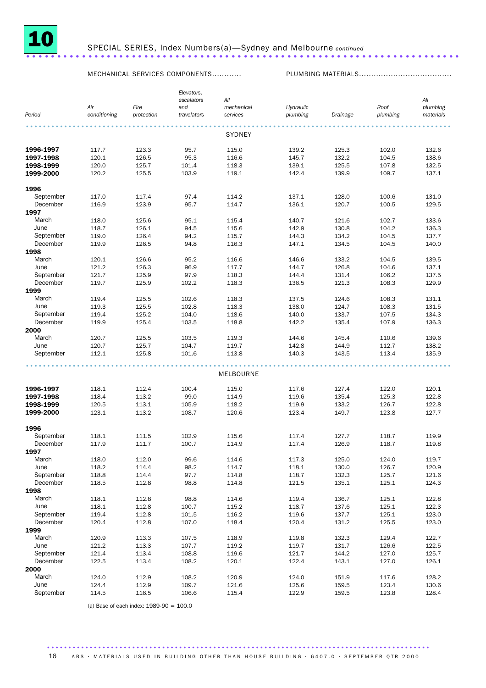

MECHANICAL SERVICES COMPONENTS............ PLUMBING MATERIALS......................................

| Period    | Air<br>conditioning | Fire<br>protection | Elevators,<br>escalators<br>and<br>travelators | All<br>mechanical<br>services | Hydraulic<br>plumbing | Drainage | Roof<br>plumbing | All<br>plumbing<br>materials |
|-----------|---------------------|--------------------|------------------------------------------------|-------------------------------|-----------------------|----------|------------------|------------------------------|
|           |                     |                    |                                                |                               |                       |          |                  |                              |
|           |                     |                    |                                                | <b>SYDNEY</b>                 |                       |          |                  |                              |
| 1996-1997 | 117.7               | 123.3              | 95.7                                           | 115.0                         | 139.2                 | 125.3    | 102.0            | 132.6                        |
| 1997-1998 | 120.1               | 126.5              | 95.3                                           | 116.6                         | 145.7                 | 132.2    | 104.5            | 138.6                        |
| 1998-1999 | 120.0               | 125.7              | 101.4                                          | 118.3                         | 139.1                 | 125.5    | 107.8            | 132.5                        |
| 1999-2000 | 120.2               | 125.5              | 103.9                                          | 119.1                         | 142.4                 | 139.9    | 109.7            | 137.1                        |
| 1996      |                     |                    |                                                |                               |                       |          |                  |                              |
| September | 117.0               | 117.4              | 97.4                                           | 114.2                         | 137.1                 | 128.0    | 100.6            | 131.0                        |
| December  | 116.9               | 123.9              | 95.7                                           | 114.7                         | 136.1                 | 120.7    | 100.5            | 129.5                        |
| 1997      |                     |                    |                                                |                               |                       |          |                  |                              |
| March     | 118.0               | 125.6              | 95.1                                           | 115.4                         | 140.7                 | 121.6    | 102.7            | 133.6                        |
| June      | 118.7               | 126.1              | 94.5                                           | 115.6                         | 142.9                 | 130.8    | 104.2            | 136.3                        |
| September | 119.0               | 126.4              | 94.2                                           | 115.7                         | 144.3                 | 134.2    | 104.5            | 137.7                        |
| December  | 119.9               | 126.5              | 94.8                                           | 116.3                         | 147.1                 | 134.5    | 104.5            | 140.0                        |
| 1998      |                     |                    |                                                |                               |                       |          |                  |                              |
| March     | 120.1               | 126.6              | 95.2                                           | 116.6                         | 146.6                 | 133.2    | 104.5            | 139.5                        |
| June      | 121.2               | 126.3              | 96.9                                           | 117.7                         | 144.7                 | 126.8    | 104.6            | 137.1                        |
| September | 121.7               | 125.9              | 97.9                                           | 118.3                         | 144.4                 | 131.4    | 106.2            | 137.5                        |
| December  | 119.7               | 125.9              | 102.2                                          | 118.3                         | 136.5                 | 121.3    | 108.3            | 129.9                        |
| 1999      |                     |                    |                                                |                               |                       |          |                  |                              |
| March     | 119.4               | 125.5              | 102.6                                          | 118.3                         | 137.5                 | 124.6    | 108.3            | 131.1                        |
| June      | 119.3               | 125.5              | 102.8                                          | 118.3                         | 138.0                 | 124.7    | 108.3            | 131.5                        |
| September | 119.4               | 125.2              | 104.0                                          | 118.6                         | 140.0                 | 133.7    | 107.5            | 134.3                        |
| December  | 119.9               | 125.4              | 103.5                                          | 118.8                         | 142.2                 | 135.4    | 107.9            | 136.3                        |
| 2000      |                     |                    |                                                |                               |                       |          |                  |                              |
| March     | 120.7               | 125.5              | 103.5                                          | 119.3                         | 144.6                 | 145.4    | 110.6            | 139.6                        |
| June      | 120.7               | 125.7              | 104.7                                          | 119.7                         | 142.8                 | 144.9    | 112.7            | 138.2                        |
| September | 112.1               | 125.8              | 101.6                                          | 113.8                         | 140.3                 | 143.5    | 113.4            | 135.9                        |
|           |                     |                    |                                                |                               |                       |          |                  |                              |
|           |                     |                    |                                                | MELBOURNE                     |                       |          |                  |                              |
| 1996-1997 | 118.1               | 112.4              | 100.4                                          | 115.0                         | 117.6                 | 127.4    | 122.0            | 120.1                        |
| 1997-1998 | 118.4               | 113.2              | 99.0                                           | 114.9                         | 119.6                 | 135.4    | 125.3            | 122.8                        |
| 1998-1999 | 120.5               | 113.1              | 105.9                                          | 118.2                         | 119.9                 | 133.2    | 126.7            | 122.8                        |
| 1999-2000 | 123.1               | 113.2              | 108.7                                          | 120.6                         | 123.4                 | 149.7    | 123.8            | 127.7                        |
| 1996      |                     |                    |                                                |                               |                       |          |                  |                              |
| September | 118.1               | 111.5              | 102.9                                          | 115.6                         | 117.4                 | 127.7    | 118.7            | 119.9                        |
| December  | 117.9               | 111.7              | 100.7                                          | 114.9                         | 117.4                 | 126.9    | 118.7            | 119.8                        |
| 1997      |                     |                    |                                                |                               |                       |          |                  |                              |
| March     | 118.0               | 112.0              | 99.6                                           | 114.6                         | 117.3                 | 125.0    | 124.0            | 119.7                        |
| June      | 118.2               | 114.4              | 98.2                                           | 114.7                         | 118.1                 | 130.0    | 126.7            | 120.9                        |
| September | 118.8               | 114.4              | 97.7                                           | 114.8                         | 118.7                 | 132.3    | 125.7            | 121.6                        |
| December  | 118.5               | 112.8              | 98.8                                           | 114.8                         | 121.5                 | 135.1    | 125.1            | 124.3                        |
| 1998      |                     |                    |                                                |                               |                       |          |                  |                              |
| March     | 118.1               | 112.8              | 98.8                                           | 114.6                         | 119.4                 | 136.7    | 125.1            | 122.8                        |
| June      | 118.1               | 112.8              | 100.7                                          | 115.2                         | 118.7                 | 137.6    | 125.1            | 122.3                        |
| September | 119.4               | 112.8              | 101.5                                          | 116.2                         | 119.6                 | 137.7    | 125.1            | 123.0                        |
| December  | 120.4               | 112.8              | 107.0                                          | 118.4                         | 120.4                 | 131.2    | 125.5            | 123.0                        |
| 1999      |                     |                    |                                                |                               |                       |          |                  |                              |
| March     | 120.9               | 113.3              | 107.5                                          | 118.9                         | 119.8                 | 132.3    | 129.4            | 122.7                        |
| June      | 121.2               | 113.3              | 107.7                                          | 119.2                         | 119.7                 | 131.7    | 126.6            | 122.5                        |
| September | 121.4               | 113.4              | 108.8                                          | 119.6                         | 121.7                 | 144.2    | 127.0            | 125.7                        |
| December  | 122.5               | 113.4              | 108.2                                          | 120.1                         | 122.4                 | 143.1    | 127.0            | 126.1                        |
| 2000      |                     |                    |                                                |                               |                       |          |                  |                              |
| March     | 124.0               | 112.9              | 108.2                                          | 120.9                         | 124.0                 | 151.9    | 117.6            | 128.2                        |
| June      | 124.4               | 112.9              | 109.7                                          | 121.6                         | 125.6                 | 159.5    | 123.4            | 130.6                        |
| September | 114.5               | 116.5              | 106.6                                          | 115.4                         | 122.9                 | 159.5    | 123.8            | 128.4                        |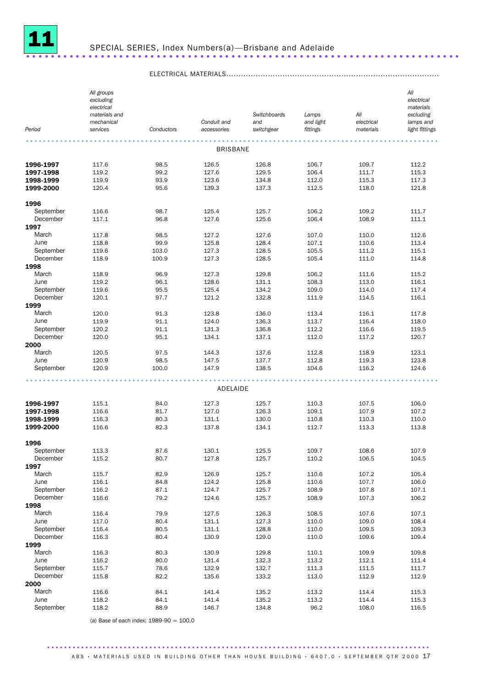

*Period All groups excluding electrical materials and mechanical services Conductors Conduit and accessories Switchboards and switchgear Lamps and light fittings All electrical materials All electrical materials excluding lamps and light fittings* ................................................................................................. BRISBANE **1996-1997** 117.6 98.5 126.5 126.8 106.7 109.7 112.2 **1997-1998** 119.2 99.2 127.6 129.5 106.4 111.7 115.3 **1998-1999** 119.9 93.9 123.6 134.8 112.0 115.3 117.3 **1999-2000** 120.4 95.6 139.3 137.3 112.5 118.0 121.8 1996<br>September September 116.6 98.7 125.4 125.7 106.2 109.2 111.7 December 117.1 96.8 127.6 125.6 106.4 108.9 111.1 1997 March 117.8 98.5 127.2 127.6 107.0 110.0 112.6 June 118.8 99.9 125.8 128.4 107.1 110.6 113.4 September 119.6 103.0 127.3 128.5 105.5 111.2 115.1 December 118.9 100.9 127.3 128.5 105.4 111.0 114.8 1998 March 118.9 96.9 127.3 129.8 106.2 111.6 115.2 June 119.2 96.1 128.6 131.1 108.3 113.0 116.1 September 119.6 95.5 125.4 134.2 109.0 114.0 117.4 December 120.1 97.7 121.2 132.8 111.9 114.5 116.1 1999 March 120.0 91.3 123.8 136.0 113.4 116.1 117.8 June 119.9 91.1 124.0 136.3 113.7 116.4 118.0 September 120.2 91.1 131.3 136.8 112.2 116.6 119.5 December 120.0 95.1 134.1 137.1 112.0 117.2 120.7 **2000**<br>March March 120.5 97.5 144.3 137.6 112.8 118.9 123.1 June 120.9 98.5 147.5 137.7 112.8 119.3 123.8 September 120.9 100.0 147.9 138.5 104.6 116.2 124.6 ................................................................................................. ADELAIDE **1996-1997** 115.1 84.0 127.3 125.7 110.3 107.5 106.0 **1997-1998** 116.6 81.7 127.0 126.3 109.1 107.9 107.2 **1998-1999** 116.3 80.3 131.1 130.0 110.8 110.3 110.0 **1999-2000** 116.6 82.3 137.8 134.1 112.7 113.3 113.8 1996<br>September September 113.3 87.6 130.1 125.5 109.7 108.6 107.9 December 115.2 80.7 127.8 125.7 110.2 106.5 104.5 1997 March 115.7 82.9 126.9 125.7 110.6 107.2 105.4 June 116.1 84.8 124.2 125.8 110.6 107.7 106.0 September 116.2 87.1 124.7 125.7 108.9 107.8 107.1 December 116.6 79.2 124.6 125.7 108.9 107.3 106.2 **1998**<br>March March 116.4 79.9 127.5 126.3 108.5 107.6 107.1 June 117.0 80.4 131.1 127.3 110.0 109.0 108.4 September 116.4 80.5 131.1 128.8 110.0 109.5 109.3 December 116.3 80.4 130.9 129.0 110.0 109.6 109.4 **1999**<br>March March 116.3 80.3 130.9 129.8 110.1 109.9 109.8 June 116.2 80.0 131.4 132.3 113.2 112.1 111.4 September 115.7 78.6 132.9 132.7 111.3 111.5 111.7 December 115.8 82.2 135.6 133.2 113.0 112.9 112.9 **2000**<br>March March 116.6 84.1 141.4 135.2 113.2 114.4 115.3 June 118.2 84.1 141.4 135.2 113.2 114.4 115.3 September 118.2 88.9 146.7 134.8 96.2 108.0 116.5

ELECTRICAL MATERIALS.......................................................................................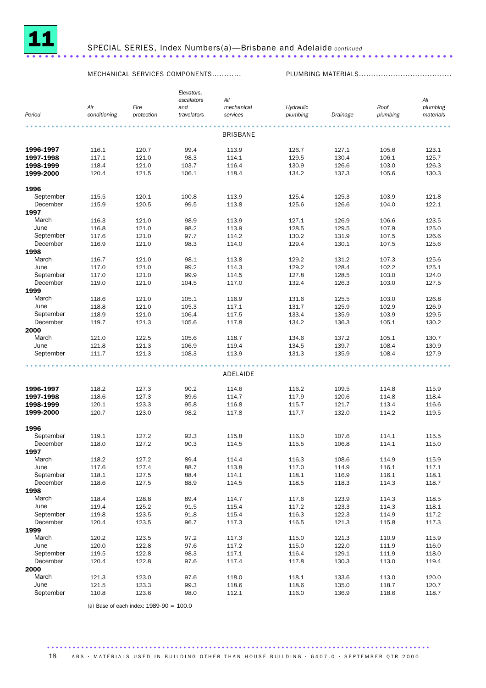

#### SPECIAL SERIES, Index Numbers(a)—Brisbane and Adelaide *continued* .....................................................................

MECHANICAL SERVICES COMPONENTS............ PLUMBING MATERIALS......................................

|           | Air          | Fire       | Elevators,<br>escalators<br>and | All<br>mechanical | Hydraulic |          | Roof     | All<br>plumbing |
|-----------|--------------|------------|---------------------------------|-------------------|-----------|----------|----------|-----------------|
| Period    | conditioning | protection | travelators                     | services          | plumbing  | Drainage | plumbing | materials       |
|           |              |            |                                 | <b>BRISBANE</b>   |           |          |          |                 |
| 1996-1997 | 116.1        | 120.7      | 99.4                            | 113.9             | 126.7     | 127.1    | 105.6    | 123.1           |
| 1997-1998 | 117.1        | 121.0      | 98.3                            | 114.1             | 129.5     | 130.4    | 106.1    | 125.7           |
| 1998-1999 | 118.4        | 121.0      | 103.7                           | 116.4             | 130.9     | 126.6    | 103.0    | 126.3           |
| 1999-2000 | 120.4        | 121.5      | 106.1                           | 118.4             | 134.2     | 137.3    | 105.6    | 130.3           |
| 1996      |              |            |                                 |                   |           |          |          |                 |
| September | 115.5        | 120.1      | 100.8                           | 113.9             | 125.4     | 125.3    | 103.9    | 121.8           |
| December  | 115.9        | 120.5      | 99.5                            | 113.8             | 125.6     | 126.6    | 104.0    | 122.1           |
| 1997      |              |            |                                 |                   |           |          |          |                 |
| March     | 116.3        | 121.0      | 98.9                            | 113.9             | 127.1     | 126.9    | 106.6    | 123.5           |
| June      | 116.8        | 121.0      | 98.2                            | 113.9             | 128.5     | 129.5    | 107.9    | 125.0           |
| September | 117.6        | 121.0      | 97.7                            | 114.2             | 130.2     | 131.9    | 107.5    | 126.6           |
| December  | 116.9        | 121.0      | 98.3                            | 114.0             | 129.4     | 130.1    | 107.5    | 125.6           |
| 1998      |              |            |                                 |                   |           |          |          |                 |
| March     | 116.7        | 121.0      | 98.1                            | 113.8             | 129.2     | 131.2    | 107.3    | 125.6           |
| June      | 117.0        | 121.0      | 99.2                            | 114.3             | 129.2     | 128.4    | 102.2    | 125.1           |
| September | 117.0        | 121.0      | 99.9                            | 114.5             | 127.8     | 128.5    | 103.0    | 124.0           |
| December  | 119.0        | 121.0      | 104.5                           | 117.0             | 132.4     | 126.3    | 103.0    | 127.5           |
| 1999      |              |            |                                 |                   |           |          |          |                 |
| March     | 118.6        | 121.0      | 105.1                           | 116.9             | 131.6     | 125.5    | 103.0    | 126.8           |
| June      | 118.8        | 121.0      | 105.3                           | 117.1             | 131.7     | 125.9    | 102.9    | 126.9           |
| September | 118.9        | 121.0      | 106.4                           | 117.5             | 133.4     | 135.9    | 103.9    | 129.5           |
| December  | 119.7        | 121.3      | 105.6                           | 117.8             | 134.2     | 136.3    | 105.1    | 130.2           |
| 2000      |              |            |                                 |                   |           |          |          |                 |
| March     | 121.0        | 122.5      | 105.6                           | 118.7             | 134.6     | 137.2    | 105.1    | 130.7           |
| June      | 121.8        | 121.3      | 106.9                           | 119.4             | 134.5     | 139.7    | 108.4    | 130.9           |
| September | 111.7        | 121.3      | 108.3                           | 113.9             | 131.3     | 135.9    | 108.4    | 127.9           |
|           |              |            |                                 |                   |           |          |          |                 |
|           |              |            |                                 | ADELAIDE          |           |          |          |                 |
| 1996-1997 | 118.2        | 127.3      | 90.2                            | 114.6             | 116.2     | 109.5    | 114.8    | 115.9           |
| 1997-1998 | 118.6        | 127.3      | 89.6                            | 114.7             | 117.9     | 120.6    | 114.8    | 118.4           |
| 1998-1999 | 120.1        | 123.3      | 95.8                            | 116.8             | 115.7     | 121.7    | 113.4    | 116.6           |
| 1999-2000 | 120.7        | 123.0      | 98.2                            | 117.8             | 117.7     | 132.0    | 114.2    | 119.5           |
| 1996      |              |            |                                 |                   |           |          |          |                 |
| September | 119.1        | 127.2      | 92.3                            | 115.8             | 116.0     | 107.6    | 114.1    | 115.5           |
| December  | 118.0        | 127.2      | 90.3                            | 114.5             | 115.5     | 106.8    | 114.1    | 115.0           |
| 1997      |              |            |                                 |                   |           |          |          |                 |
| March     | 118.2        | 127.2      | 89.4                            | 114.4             | 116.3     | 108.6    | 114.9    | 115.9           |
| June      | 117.6        | 127.4      | 88.7                            | 113.8             | 117.0     | 114.9    | 116.1    | 117.1           |
| September | 118.1        | 127.5      | 88.4                            | 114.1             | 118.1     | 116.9    | 116.1    | 118.1           |
| December  | 118.6        | 127.5      | 88.9                            | 114.5             | 118.5     | 118.3    | 114.3    | 118.7           |
| 1998      |              |            |                                 |                   |           |          |          |                 |
| March     | 118.4        | 128.8      | 89.4                            | 114.7             | 117.6     | 123.9    | 114.3    | 118.5           |
| June      | 119.4        | 125.2      | 91.5                            | 115.4             | 117.2     | 123.3    | 114.3    | 118.1           |
| September | 119.8        | 123.5      | 91.8                            | 115.4             | 116.3     | 122.3    | 114.9    | 117.2           |
| December  | 120.4        | 123.5      | 96.7                            | 117.3             | 116.5     | 121.3    | 115.8    | 117.3           |
| 1999      |              |            |                                 |                   |           |          |          |                 |
| March     | 120.2        | 123.5      | 97.2                            | 117.3             | 115.0     | 121.3    | 110.9    | 115.9           |
| June      | 120.0        | 122.8      | 97.6                            | 117.2             | 115.0     | 122.0    | 111.9    | 116.0           |
| September | 119.5        | 122.8      | 98.3                            | 117.1             | 116.4     | 129.1    | 111.9    | 118.0           |
| December  | 120.4        | 122.8      | 97.6                            | 117.4             | 117.8     | 130.3    | 113.0    | 119.4           |
| 2000      |              |            |                                 |                   |           |          |          |                 |
| March     | 121.3        | 123.0      | 97.6                            | 118.0             | 118.1     | 133.6    | 113.0    | 120.0           |
| June      | 121.5        | 123.3      | 99.3                            | 118.6             | 118.6     | 135.0    | 118.7    | 120.7           |
| September | 110.8        | 123.6      | 98.0                            | 112.1             | 116.0     | 136.9    | 118.6    | 118.7           |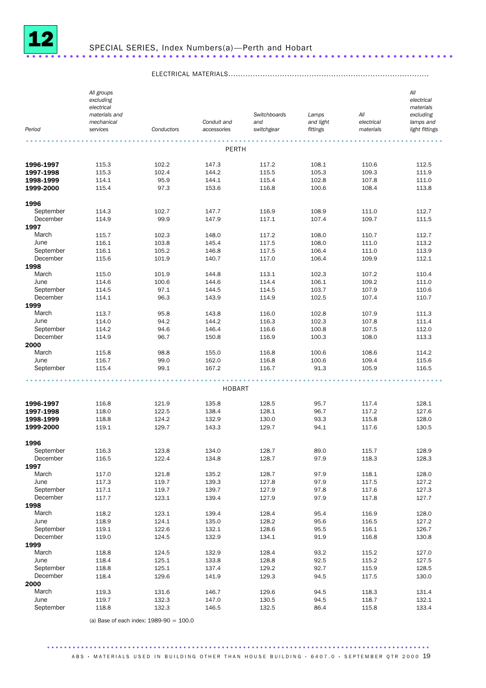

## SPECIAL SERIES, Index Numbers(a)—Perth and Hobart .....................................................................

ELECTRICAL MATERIALS..................................................................................

| Period                 | All groups<br>excluding<br>electrical<br>materials and<br>mechanical<br>services | Conductors     | Conduit and<br>accessories | Switchboards<br>and<br>switchgear | Lamps<br>and light<br>fittings | All<br>electrical<br>materials | All<br>electrical<br>materials<br>excluding<br>lamps and<br>light fittings |
|------------------------|----------------------------------------------------------------------------------|----------------|----------------------------|-----------------------------------|--------------------------------|--------------------------------|----------------------------------------------------------------------------|
|                        |                                                                                  |                | PERTH                      |                                   |                                |                                |                                                                            |
|                        |                                                                                  |                |                            |                                   |                                |                                |                                                                            |
| 1996-1997<br>1997-1998 | 115.3<br>115.3                                                                   | 102.2<br>102.4 | 147.3<br>144.2             | 117.2<br>115.5                    | 108.1<br>105.3                 | 110.6<br>109.3                 | 112.5<br>111.9                                                             |
| 1998-1999              | 114.1                                                                            | 95.9           | 144.1                      | 115.4                             | 102.8                          | 107.8                          | 111.0                                                                      |
| 1999-2000              | 115.4                                                                            | 97.3           | 153.6                      | 116.8                             | 100.6                          | 108.4                          | 113.8                                                                      |
| 1996                   |                                                                                  |                |                            |                                   |                                |                                |                                                                            |
| September              | 114.3                                                                            | 102.7          | 147.7                      | 116.9                             | 108.9                          | 111.0                          | 112.7                                                                      |
| December               | 114.9                                                                            | 99.9           | 147.9                      | 117.1                             | 107.4                          | 109.7                          | 111.5                                                                      |
| 1997                   |                                                                                  |                |                            |                                   |                                |                                |                                                                            |
| March                  | 115.7                                                                            | 102.3          | 148.0                      | 117.2                             | 108.0                          | 110.7                          | 112.7                                                                      |
| June                   | 116.1                                                                            | 103.8          | 145.4                      | 117.5                             | 108.0                          | 111.0                          | 113.2                                                                      |
| September              | 116.1                                                                            | 105.2          | 146.8                      | 117.5                             | 106.4                          | 111.0                          | 113.9                                                                      |
| December               | 115.6                                                                            | 101.9          | 140.7                      | 117.0                             | 106.4                          | 109.9                          | 112.1                                                                      |
| 1998                   |                                                                                  |                |                            |                                   |                                |                                |                                                                            |
| March                  | 115.0                                                                            | 101.9          | 144.8                      | 113.1                             | 102.3                          | 107.2                          | 110.4                                                                      |
| June                   | 114.6                                                                            | 100.6          | 144.6                      | 114.4                             | 106.1                          | 109.2                          | 111.0                                                                      |
| September              | 114.5                                                                            | 97.1           | 144.5                      | 114.5                             | 103.7                          | 107.9                          | 110.6                                                                      |
| December               | 114.1                                                                            | 96.3           | 143.9                      | 114.9                             | 102.5                          | 107.4                          | 110.7                                                                      |
| 1999<br>March          | 113.7                                                                            | 95.8           | 143.8                      | 116.0                             | 102.8                          | 107.9                          | 111.3                                                                      |
| June                   | 114.0                                                                            | 94.2           | 144.2                      | 116.3                             | 102.3                          | 107.8                          | 111.4                                                                      |
| September              | 114.2                                                                            | 94.6           | 146.4                      | 116.6                             | 100.8                          | 107.5                          | 112.0                                                                      |
| December               | 114.9                                                                            | 96.7           | 150.8                      | 116.9                             | 100.3                          | 108.0                          | 113.3                                                                      |
| 2000                   |                                                                                  |                |                            |                                   |                                |                                |                                                                            |
| March                  | 115.8                                                                            | 98.8           | 155.0                      | 116.8                             | 100.6                          | 108.6                          | 114.2                                                                      |
| June                   | 116.7                                                                            | 99.0           | 162.0                      | 116.8                             | 100.6                          | 109.4                          | 115.6                                                                      |
| September              | 115.4                                                                            | 99.1           | 167.2                      | 116.7                             | 91.3                           | 105.9                          | 116.5                                                                      |
|                        |                                                                                  |                | HOBART                     |                                   |                                |                                |                                                                            |
|                        |                                                                                  |                |                            |                                   |                                |                                |                                                                            |
| 1996-1997              | 116.8                                                                            | 121.9          | 135.8                      | 128.5                             | 95.7                           | 117.4                          | 128.1                                                                      |
| 1997-1998              | 118.0                                                                            | 122.5          | 138.4                      | 128.1                             | 96.7                           | 117.2                          | 127.6                                                                      |
| 1998-1999              | 118.8                                                                            | 124.2          | 132.9                      | 130.0                             | 93.3                           | 115.8                          | 128.0                                                                      |
| 1999-2000              | 119.1                                                                            | 129.7          | 143.3                      | 129.7                             | 94.1                           | 117.6                          | 130.5                                                                      |
| 1996                   |                                                                                  |                |                            |                                   |                                |                                |                                                                            |
| September              | 116.3                                                                            | 123.8          | 134.0                      | 128.7                             | 89.0                           | 115.7                          | 128.9                                                                      |
| December               | 116.5                                                                            | 122.4          | 134.8                      | 128.7                             | 97.9                           | 118.3                          | 128.3                                                                      |
| 1997                   |                                                                                  |                |                            |                                   |                                |                                |                                                                            |
| March                  | 117.0                                                                            | 121.8          | 135.2                      | 128.7                             | 97.9                           | 118.1                          | 128.0                                                                      |
| June<br>September      | 117.3<br>117.1                                                                   | 119.7          | 139.3<br>139.7             | 127.8<br>127.9                    | 97.9                           | 117.5                          | 127.2<br>127.3                                                             |
| December               | 117.7                                                                            | 119.7<br>123.1 | 139.4                      | 127.9                             | 97.8<br>97.9                   | 117.6<br>117.8                 | 127.7                                                                      |
| 1998                   |                                                                                  |                |                            |                                   |                                |                                |                                                                            |
| March                  | 118.2                                                                            | 123.1          | 139.4                      | 128.4                             | 95.4                           | 116.9                          | 128.0                                                                      |
| June                   | 118.9                                                                            | 124.1          | 135.0                      | 128.2                             | 95.6                           | 116.5                          | 127.2                                                                      |
| September              | 119.1                                                                            | 122.6          | 132.1                      | 128.6                             | 95.5                           | 116.1                          | 126.7                                                                      |
| December               | 119.0                                                                            | 124.5          | 132.9                      | 134.1                             | 91.9                           | 116.8                          | 130.8                                                                      |
| 1999                   |                                                                                  |                |                            |                                   |                                |                                |                                                                            |
| March                  | 118.8                                                                            | 124.5          | 132.9                      | 128.4                             | 93.2                           | 115.2                          | 127.0                                                                      |
| June                   | 118.4                                                                            | 125.1          | 133.8                      | 128.8                             | 92.5                           | 115.2                          | 127.5                                                                      |
| September              | 118.8                                                                            | 125.1          | 137.4                      | 129.2                             | 92.7                           | 115.9                          | 128.5                                                                      |
| December               | 118.4                                                                            | 129.6          | 141.9                      | 129.3                             | 94.5                           | 117.5                          | 130.0                                                                      |
| 2000                   |                                                                                  |                |                            |                                   |                                |                                |                                                                            |
| March                  | 119.3                                                                            | 131.6          | 146.7                      | 129.6                             | 94.5                           | 118.3                          | 131.4                                                                      |
| June                   | 119.7                                                                            | 132.3          | 147.0                      | 130.5                             | 94.5                           | 118.7                          | 132.1                                                                      |
| September              | 118.8                                                                            | 132.3          | 146.5                      | 132.5                             | 86.4                           | 115.8                          | 133.4                                                                      |

(a) Base of each index: 1989-90 = 100.0

#### ABS • MATERIALS USED IN BUILDING OTHER THAN HOUSE BUILDING • 6407.0 • SEPTEMBER OTR 2000 19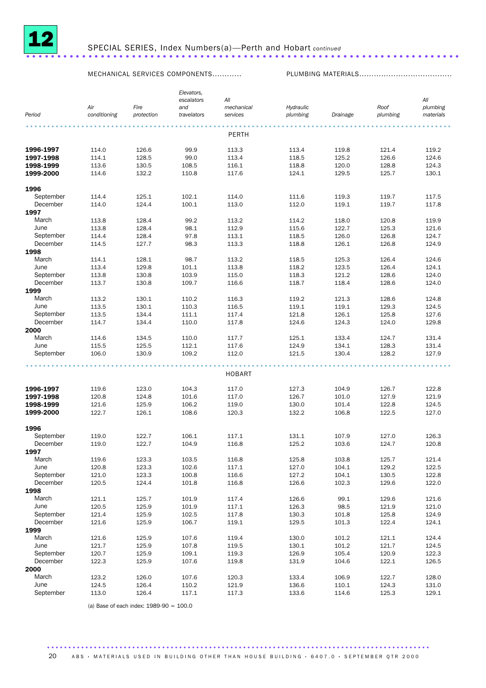

#### SPECIAL SERIES, Index Numbers(a)—Perth and Hobart *continued* ......................................................................

MECHANICAL SERVICES COMPONENTS............ PLUMBING MATERIALS......................................

|                  |                |                | Elevators,     |                |                |                |                |                |
|------------------|----------------|----------------|----------------|----------------|----------------|----------------|----------------|----------------|
|                  |                |                | escalators     | Αll            |                |                |                | All            |
|                  | Air            | Fire           | and            | mechanical     | Hydraulic      |                | Roof           | plumbing       |
| Period           | conditioning   | protection     | travelators    | services       | plumbing       | Drainage       | plumbing       | materials      |
|                  |                |                |                |                |                |                |                |                |
|                  |                |                |                | PERTH          |                |                |                |                |
| 1996-1997        | 114.0          | 126.6          | 99.9           | 113.3          | 113.4          | 119.8          | 121.4          | 119.2          |
| 1997-1998        | 114.1          | 128.5          | 99.0           | 113.4          | 118.5          | 125.2          | 126.6          | 124.6          |
| 1998-1999        | 113.6          | 130.5          | 108.5          | 116.1          | 118.8          | 120.0          | 128.8          | 124.3          |
| 1999-2000        | 114.6          | 132.2          | 110.8          | 117.6          | 124.1          | 129.5          | 125.7          | 130.1          |
| 1996             |                |                |                |                |                |                |                |                |
| September        | 114.4          | 125.1          | 102.1          | 114.0          | 111.6          | 119.3          | 119.7          | 117.5          |
| December         | 114.0          | 124.4          | 100.1          | 113.0          | 112.0          | 119.1          | 119.7          | 117.8          |
| 1997             |                |                |                |                |                |                |                |                |
| March            | 113.8          | 128.4          | 99.2           | 113.2          | 114.2          | 118.0          | 120.8          | 119.9          |
| June             | 113.8          | 128.4          | 98.1           | 112.9          | 115.6          | 122.7          | 125.3          | 121.6          |
| September        | 114.4          | 128.4          | 97.8           | 113.1          | 118.5          | 126.0          | 126.8          | 124.7          |
| December         | 114.5          | 127.7          | 98.3           | 113.3          | 118.8          | 126.1          | 126.8          | 124.9          |
| 1998             |                |                |                |                |                |                |                |                |
| March            | 114.1          | 128.1          | 98.7           | 113.2          | 118.5          | 125.3          | 126.4          | 124.6          |
| June             | 113.4          | 129.8          | 101.1          | 113.8          | 118.2          | 123.5          | 126.4          | 124.1          |
| September        | 113.8          | 130.8          | 103.9          | 115.0          | 118.3          | 121.2          | 128.6          | 124.0          |
| December         | 113.7          | 130.8          | 109.7          | 116.6          | 118.7          | 118.4          | 128.6          | 124.0          |
| 1999             |                |                |                |                |                |                |                |                |
| March            | 113.2          | 130.1          | 110.2          | 116.3          | 119.2          | 121.3          | 128.6          | 124.8          |
| June             | 113.5          | 130.1          | 110.3          | 116.5          | 119.1          | 119.1          | 129.3          | 124.5          |
| September        | 113.5          | 134.4          | 111.1          | 117.4          | 121.8          | 126.1          | 125.8          | 127.6          |
| December         | 114.7          | 134.4          | 110.0          | 117.8          | 124.6          | 124.3          | 124.0          | 129.8          |
| 2000             |                |                |                |                |                |                |                |                |
| March            | 114.6          | 134.5          | 110.0          | 117.7          | 125.1          | 133.4          | 124.7          | 131.4          |
| June             | 115.5          | 125.5          | 112.1          | 117.6          | 124.9          | 134.1          | 128.3          | 131.4          |
| September        | 106.0          | 130.9          | 109.2          | 112.0          | 121.5          | 130.4          | 128.2          | 127.9          |
|                  |                |                |                |                |                |                |                |                |
|                  |                |                |                |                |                |                |                |                |
|                  |                |                |                | <b>HOBART</b>  |                |                |                |                |
| 1996-1997        | 119.6          | 123.0          | 104.3          | 117.0          | 127.3          | 104.9          | 126.7          | 122.8          |
| 1997-1998        | 120.8          | 124.8          | 101.6          | 117.0          | 126.7          | 101.0          | 127.9          | 121.9          |
| 1998-1999        | 121.6          | 125.9          | 106.2          | 119.0          | 130.0          | 101.4          | 122.8          | 124.5          |
| 1999-2000        | 122.7          | 126.1          | 108.6          | 120.3          | 132.2          | 106.8          | 122.5          | 127.0          |
| 1996             |                |                |                |                |                |                |                |                |
| September        | 119.0          | 122.7          | 106.1          | 117.1          | 131.1          | 107.9          | 127.0          | 126.3          |
| December         | 119.0          | 122.7          | 104.9          | 116.8          | 125.2          | 103.6          | 124.7          | 120.8          |
| 1997             |                |                |                |                |                |                |                |                |
| March            | 119.6          | 123.3          | 103.5          | 116.8          | 125.8          | 103.8          | 125.7          | 121.4          |
| June             |                |                |                |                |                |                |                |                |
| September        | 120.8<br>121.0 | 123.3<br>123.3 | 102.6<br>100.8 | 117.1<br>116.6 | 127.0<br>127.2 | 104.1<br>104.1 | 129.2<br>130.5 | 122.5<br>122.8 |
|                  |                |                |                |                |                |                |                |                |
| December<br>1998 | 120.5          | 124.4          | 101.8          | 116.8          | 126.6          | 102.3          | 129.6          | 122.0          |
| March            | 121.1          | 125.7          | 101.9          | 117.4          | 126.6          | 99.1           | 129.6          | 121.6          |
| June             |                |                |                |                |                | 98.5           |                |                |
|                  | 120.5          | 125.9          | 101.9          | 117.1          | 126.3          |                | 121.9          | 121.0          |
| September        | 121.4          | 125.9          | 102.5          | 117.8          | 130.3          | 101.8          | 125.8          | 124.9          |
| December         | 121.6          | 125.9          | 106.7          | 119.1          | 129.5          | 101.3          | 122.4          | 124.1          |
| 1999             |                |                |                |                |                |                |                |                |
| March            | 121.6          | 125.9          | 107.6          | 119.4          | 130.0          | 101.2          | 121.1          | 124.4          |
| June             | 121.7          | 125.9          | 107.8          | 119.5          | 130.1          | 101.2          | 121.7          | 124.5          |
| September        | 120.7          | 125.9          | 109.1          | 119.3          | 126.9          | 105.4          | 120.9          | 122.3          |
| December         | 122.3          | 125.9          | 107.6          | 119.8          | 131.9          | 104.6          | 122.1          | 126.5          |
| 2000             |                |                |                |                |                |                |                |                |
| March            | 123.2          | 126.0          | 107.6          | 120.3          | 133.4          | 106.9          | 122.7          | 128.0          |
| June             | 124.5          | 126.4          | 110.2          | 121.9          | 136.6          | 110.1          | 124.3          | 131.0          |
| September        | 113.0          | 126.4          | 117.1          | 117.3          | 133.6          | 114.6          | 125.3          | 129.1          |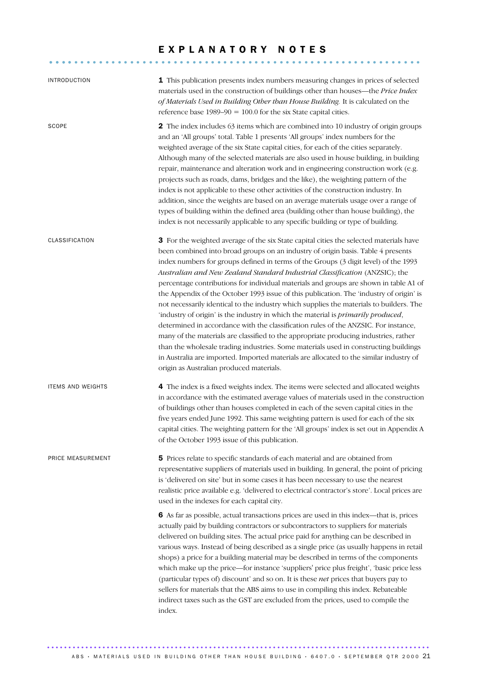# E X P L A N A T O R Y N O T E S ............................................................ ....

| <b>INTRODUCTION</b>      | 1 This publication presents index numbers measuring changes in prices of selected<br>materials used in the construction of buildings other than houses—the Price Index<br>of Materials Used in Building Other than House Building. It is calculated on the<br>reference base $1989-90 = 100.0$ for the six State capital cities.                                                                                                                                                                                                                                                                                                                                                                                                                                                                                                                                                                                                                                                                                                                                                                                                          |
|--------------------------|-------------------------------------------------------------------------------------------------------------------------------------------------------------------------------------------------------------------------------------------------------------------------------------------------------------------------------------------------------------------------------------------------------------------------------------------------------------------------------------------------------------------------------------------------------------------------------------------------------------------------------------------------------------------------------------------------------------------------------------------------------------------------------------------------------------------------------------------------------------------------------------------------------------------------------------------------------------------------------------------------------------------------------------------------------------------------------------------------------------------------------------------|
| SCOPE                    | 2 The index includes 63 items which are combined into 10 industry of origin groups<br>and an 'All groups' total. Table 1 presents 'All groups' index numbers for the<br>weighted average of the six State capital cities, for each of the cities separately.<br>Although many of the selected materials are also used in house building, in building<br>repair, maintenance and alteration work and in engineering construction work (e.g.<br>projects such as roads, dams, bridges and the like), the weighting pattern of the<br>index is not applicable to these other activities of the construction industry. In<br>addition, since the weights are based on an average materials usage over a range of<br>types of building within the defined area (building other than house building), the<br>index is not necessarily applicable to any specific building or type of building.                                                                                                                                                                                                                                                  |
| CLASSIFICATION           | 3 For the weighted average of the six State capital cities the selected materials have<br>been combined into broad groups on an industry of origin basis. Table 4 presents<br>index numbers for groups defined in terms of the Groups (3 digit level) of the 1993<br>Australian and New Zealand Standard Industrial Classification (ANZSIC); the<br>percentage contributions for individual materials and groups are shown in table A1 of<br>the Appendix of the October 1993 issue of this publication. The 'industry of origin' is<br>not necessarily identical to the industry which supplies the materials to builders. The<br>'industry of origin' is the industry in which the material is <i>primarily produced</i> ,<br>determined in accordance with the classification rules of the ANZSIC. For instance,<br>many of the materials are classified to the appropriate producing industries, rather<br>than the wholesale trading industries. Some materials used in constructing buildings<br>in Australia are imported. Imported materials are allocated to the similar industry of<br>origin as Australian produced materials. |
| <b>ITEMS AND WEIGHTS</b> | 4 The index is a fixed weights index. The items were selected and allocated weights<br>in accordance with the estimated average values of materials used in the construction<br>of buildings other than houses completed in each of the seven capital cities in the<br>five years ended June 1992. This same weighting pattern is used for each of the six<br>capital cities. The weighting pattern for the 'All groups' index is set out in Appendix A<br>of the October 1993 issue of this publication.                                                                                                                                                                                                                                                                                                                                                                                                                                                                                                                                                                                                                                 |
| PRICE MEASUREMENT        | 5 Prices relate to specific standards of each material and are obtained from<br>representative suppliers of materials used in building. In general, the point of pricing<br>is 'delivered on site' but in some cases it has been necessary to use the nearest<br>realistic price available e.g. 'delivered to electrical contractor's store'. Local prices are<br>used in the indexes for each capital city.                                                                                                                                                                                                                                                                                                                                                                                                                                                                                                                                                                                                                                                                                                                              |
|                          | 6 As far as possible, actual transactions prices are used in this index-that is, prices<br>actually paid by building contractors or subcontractors to suppliers for materials<br>delivered on building sites. The actual price paid for anything can be described in<br>various ways. Instead of being described as a single price (as usually happens in retail<br>shops) a price for a building material may be described in terms of the components<br>which make up the price—for instance 'suppliers' price plus freight', 'basic price less<br>(particular types of) discount' and so on. It is these net prices that buyers pay to<br>sellers for materials that the ABS aims to use in compiling this index. Rebateable<br>indirect taxes such as the GST are excluded from the prices, used to compile the<br>index.                                                                                                                                                                                                                                                                                                             |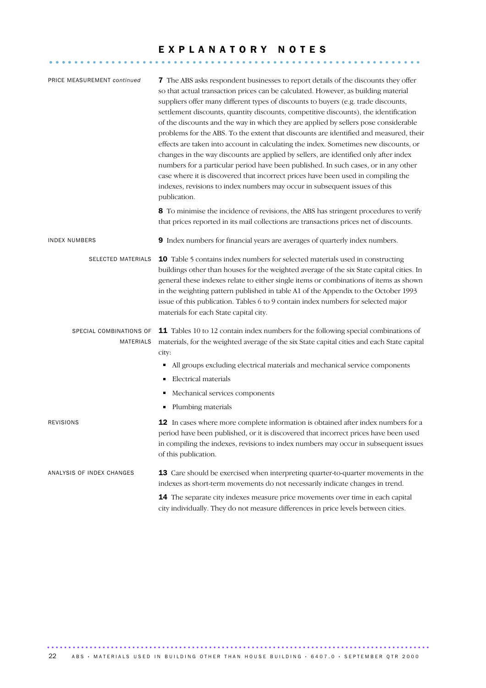# E X P L A N A T O R Y N O T E S ............................................................ ....

| PRICE MEASUREMENT continued          | 7 The ABS asks respondent businesses to report details of the discounts they offer<br>so that actual transaction prices can be calculated. However, as building material<br>suppliers offer many different types of discounts to buyers (e.g. trade discounts,<br>settlement discounts, quantity discounts, competitive discounts), the identification<br>of the discounts and the way in which they are applied by sellers pose considerable<br>problems for the ABS. To the extent that discounts are identified and measured, their<br>effects are taken into account in calculating the index. Sometimes new discounts, or<br>changes in the way discounts are applied by sellers, are identified only after index<br>numbers for a particular period have been published. In such cases, or in any other<br>case where it is discovered that incorrect prices have been used in compiling the<br>indexes, revisions to index numbers may occur in subsequent issues of this<br>publication. |
|--------------------------------------|--------------------------------------------------------------------------------------------------------------------------------------------------------------------------------------------------------------------------------------------------------------------------------------------------------------------------------------------------------------------------------------------------------------------------------------------------------------------------------------------------------------------------------------------------------------------------------------------------------------------------------------------------------------------------------------------------------------------------------------------------------------------------------------------------------------------------------------------------------------------------------------------------------------------------------------------------------------------------------------------------|
|                                      | 8 To minimise the incidence of revisions, the ABS has stringent procedures to verify<br>that prices reported in its mail collections are transactions prices net of discounts.                                                                                                                                                                                                                                                                                                                                                                                                                                                                                                                                                                                                                                                                                                                                                                                                                   |
| <b>INDEX NUMBERS</b>                 | 9 Index numbers for financial years are averages of quarterly index numbers.                                                                                                                                                                                                                                                                                                                                                                                                                                                                                                                                                                                                                                                                                                                                                                                                                                                                                                                     |
| SELECTED MATERIALS                   | 10 Table 5 contains index numbers for selected materials used in constructing<br>buildings other than houses for the weighted average of the six State capital cities. In<br>general these indexes relate to either single items or combinations of items as shown<br>in the weighting pattern published in table A1 of the Appendix to the October 1993<br>issue of this publication. Tables 6 to 9 contain index numbers for selected major<br>materials for each State capital city.                                                                                                                                                                                                                                                                                                                                                                                                                                                                                                          |
| SPECIAL COMBINATIONS OF<br>MATERIALS | 11 Tables 10 to 12 contain index numbers for the following special combinations of<br>materials, for the weighted average of the six State capital cities and each State capital<br>city:                                                                                                                                                                                                                                                                                                                                                                                                                                                                                                                                                                                                                                                                                                                                                                                                        |
|                                      | All groups excluding electrical materials and mechanical service components<br>٠                                                                                                                                                                                                                                                                                                                                                                                                                                                                                                                                                                                                                                                                                                                                                                                                                                                                                                                 |
|                                      | Electrical materials<br>٠                                                                                                                                                                                                                                                                                                                                                                                                                                                                                                                                                                                                                                                                                                                                                                                                                                                                                                                                                                        |
|                                      | Mechanical services components<br>٠                                                                                                                                                                                                                                                                                                                                                                                                                                                                                                                                                                                                                                                                                                                                                                                                                                                                                                                                                              |
|                                      | Plumbing materials<br>٠                                                                                                                                                                                                                                                                                                                                                                                                                                                                                                                                                                                                                                                                                                                                                                                                                                                                                                                                                                          |
| <b>REVISIONS</b>                     | 12 In cases where more complete information is obtained after index numbers for a<br>period have been published, or it is discovered that incorrect prices have been used<br>in compiling the indexes, revisions to index numbers may occur in subsequent issues<br>of this publication.                                                                                                                                                                                                                                                                                                                                                                                                                                                                                                                                                                                                                                                                                                         |
| ANALYSIS OF INDEX CHANGES            | <b>13</b> Care should be exercised when interpreting quarter-to-quarter movements in the<br>indexes as short-term movements do not necessarily indicate changes in trend.                                                                                                                                                                                                                                                                                                                                                                                                                                                                                                                                                                                                                                                                                                                                                                                                                        |
|                                      | 14 The separate city indexes measure price movements over time in each capital<br>city individually. They do not measure differences in price levels between cities.                                                                                                                                                                                                                                                                                                                                                                                                                                                                                                                                                                                                                                                                                                                                                                                                                             |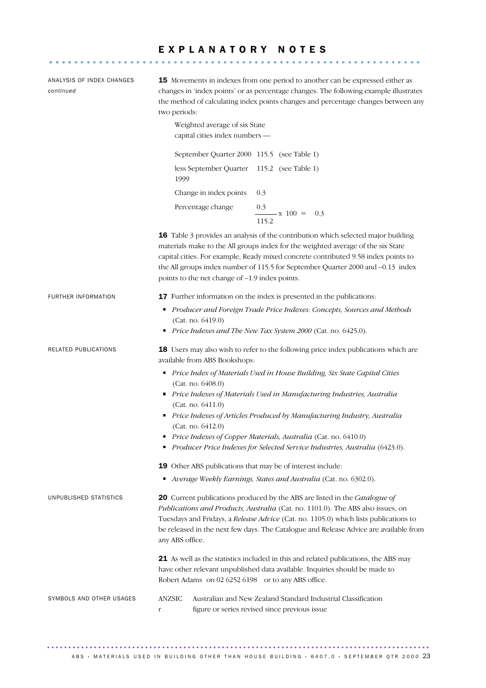# E X P L A N A T O R Y N O T E S ............................................................ ....

| ANALYSIS OF INDEX CHANGES<br>continued | <b>15</b> Movements in indexes from one period to another can be expressed either as<br>changes in 'index points' or as percentage changes. The following example illustrates<br>the method of calculating index points changes and percentage changes between any<br>two periods:<br>Weighted average of six State<br>capital cities index numbers -                                            |
|----------------------------------------|--------------------------------------------------------------------------------------------------------------------------------------------------------------------------------------------------------------------------------------------------------------------------------------------------------------------------------------------------------------------------------------------------|
|                                        | September Quarter 2000 115.5 (see Table 1)                                                                                                                                                                                                                                                                                                                                                       |
|                                        | less September Quarter 115.2 (see Table 1)<br>1999                                                                                                                                                                                                                                                                                                                                               |
|                                        | Change in index points<br>0.3                                                                                                                                                                                                                                                                                                                                                                    |
|                                        | Percentage change<br>0.3<br>$\frac{3}{x}$ x 100 =<br>0.3<br>115.2                                                                                                                                                                                                                                                                                                                                |
|                                        | 16 Table 3 provides an analysis of the contribution which selected major building<br>materials make to the All groups index for the weighted average of the six State<br>capital cities. For example, Ready mixed concrete contributed 9.58 index points to<br>the All groups index number of 115.5 for September Quarter 2000 and -0.13 index<br>points to the net change of -1.9 index points. |
| FURTHER INFORMATION                    | 17 Further information on the index is presented in the publications:<br>Producer and Foreign Trade Price Indexes: Concepts, Sources and Methods<br>(Cat. no. 6419.0)<br>Price Indexes and The New Tax System 2000 (Cat. no. 6425.0).                                                                                                                                                            |
| RELATED PUBLICATIONS                   | 18 Users may also wish to refer to the following price index publications which are<br>available from ABS Bookshops:                                                                                                                                                                                                                                                                             |
|                                        | Price Index of Materials Used in House Building, Six State Capital Cities<br>(Cat. no. 6408.0)<br>Price Indexes of Materials Used in Manufacturing Industries, Australia<br>(Cat. no. 6411.0)                                                                                                                                                                                                    |
|                                        | Price Indexes of Articles Produced by Manufacturing Industry, Australia<br>(Cat. no. 6412.0)<br>Price Indexes of Copper Materials, Australia (Cat. no. 6410.0)<br>Producer Price Indexes for Selected Service Industries, Australia (6423.0).                                                                                                                                                    |
|                                        |                                                                                                                                                                                                                                                                                                                                                                                                  |
|                                        | 19 Other ABS publications that may be of interest include:<br>Average Weekly Earnings, States and Australia (Cat. no. 6302.0).                                                                                                                                                                                                                                                                   |
| UNPUBLISHED STATISTICS                 | 20 Current publications produced by the ABS are listed in the Catalogue of<br>Publications and Products, Australia (Cat. no. 1101.0). The ABS also issues, on<br>Tuesdays and Fridays, a Release Advice (Cat. no. 1105.0) which lists publications to<br>be released in the next few days. The Catalogue and Release Advice are available from<br>any ABS office.                                |
|                                        | 21 As well as the statistics included in this and related publications, the ABS may<br>have other relevant unpublished data available. Inquiries should be made to<br>Robert Adams on 02 6252 6198 or to any ABS office.                                                                                                                                                                         |
| SYMBOLS AND OTHER USAGES               | <b>ANZSIC</b><br>Australian and New Zealand Standard Industrial Classification<br>figure or series revised since previous issue<br>r                                                                                                                                                                                                                                                             |